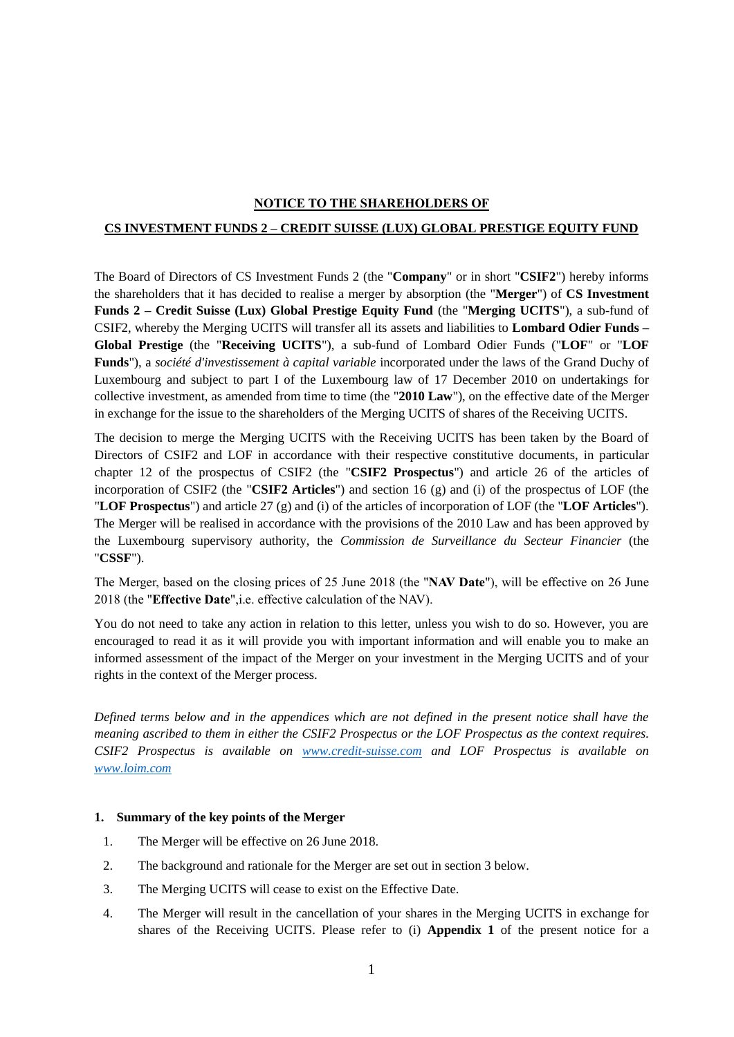### **NOTICE TO THE SHAREHOLDERS OF**

# **CS INVESTMENT FUNDS 2 – CREDIT SUISSE (LUX) GLOBAL PRESTIGE EQUITY FUND**

 The Board of Directors of CS Investment Funds 2 (the "**Company**" or in short "**CSIF2**") hereby informs the shareholders that it has decided to realise a merger by absorption (the "**Merger**") of **CS Investment Funds 2 – Credit Suisse (Lux) Global Prestige Equity Fund** (the "**Merging UCITS**"), a sub-fund of CSIF2, whereby the Merging UCITS will transfer all its assets and liabilities to **Lombard Odier Funds – Global Prestige** (the "**Receiving UCITS**"), a sub-fund of Lombard Odier Funds ("**LOF**" or "**LOF**   **Funds**"), a *société d'investissement à capital variable* incorporated under the laws of the Grand Duchy of Luxembourg and subject to part I of the Luxembourg law of 17 December 2010 on undertakings for collective investment, as amended from time to time (the "**2010 Law**"), on the effective date of the Merger in exchange for the issue to the shareholders of the Merging UCITS of shares of the Receiving UCITS.

 The decision to merge the Merging UCITS with the Receiving UCITS has been taken by the Board of chapter 12 of the prospectus of CSIF2 (the "**CSIF2 Prospectus**") and article 26 of the articles of incorporation of CSIF2 (the "**CSIF2 Articles**") and section 16 (g) and (i) of the prospectus of LOF (the "**LOF Prospectus**") and article 27 (g) and (i) of the articles of incorporation of LOF (the "**LOF Articles**"). The Merger will be realised in accordance with the provisions of the 2010 Law and has been approved by the Luxembourg supervisory authority, the *Commission de Surveillance du Secteur Financier* (the Directors of CSIF2 and LOF in accordance with their respective constitutive documents, in particular "**CSSF**").

 The Merger, based on the closing prices of 25 June 2018 (the "**NAV Date**"), will be effective on 26 June 2018 (the "**Effective Date**",i.e. effective calculation of the NAV).

 encouraged to read it as it will provide you with important information and will enable you to make an informed assessment of the impact of the Merger on your investment in the Merging UCITS and of your You do not need to take any action in relation to this letter, unless you wish to do so. However, you are rights in the context of the Merger process.

 *Defined terms below and in the appendices which are not defined in the present notice shall have the meaning ascribed to them in either the CSIF2 Prospectus or the LOF Prospectus as the context requires. [www.loim.com](http://www.loim.com/) CSIF2 Prospectus is available on [www.credit-suisse.com](http://www.credit-suisse.com/) and LOF Prospectus is available on* 

#### **1. Summary of the key points of the Merger**

- 1. The Merger will be effective on 26 June 2018.
- 2. The background and rationale for the Merger are set out in section 3 below.
- 3. The Merging UCITS will cease to exist on the Effective Date.
- 4. The Merger will result in the cancellation of your shares in the Merging UCITS in exchange for shares of the Receiving UCITS. Please refer to (i) **Appendix 1** of the present notice for a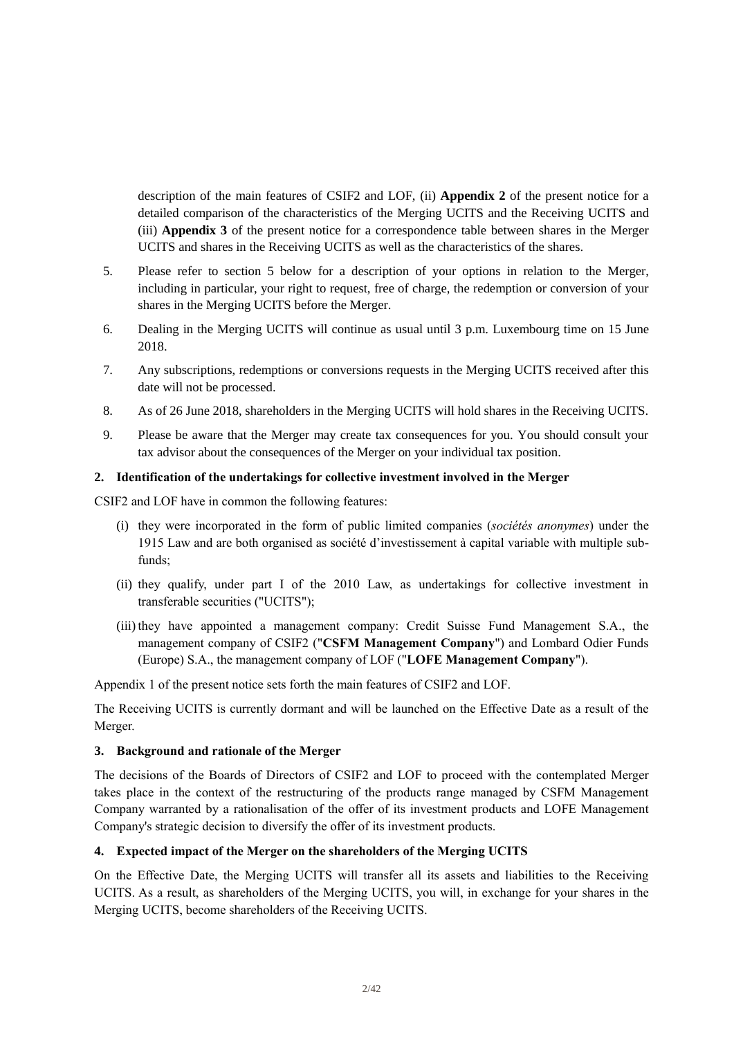description of the main features of CSIF2 and LOF, (ii) **Appendix 2** of the present notice for a detailed comparison of the characteristics of the Merging UCITS and the Receiving UCITS and (iii) **Appendix 3** of the present notice for a correspondence table between shares in the Merger UCITS and shares in the Receiving UCITS as well as the characteristics of the shares.

- 5. Please refer to section 5 below for a description of your options in relation to the Merger, including in particular, your right to request, free of charge, the redemption or conversion of your shares in the Merging UCITS before the Merger.
- 6. Dealing in the Merging UCITS will continue as usual until 3 p.m. Luxembourg time on 15 June 2018.
- 7. Any subscriptions, redemptions or conversions requests in the Merging UCITS received after this date will not be processed.
- 8. As of 26 June 2018, shareholders in the Merging UCITS will hold shares in the Receiving UCITS.
- 9. Please be aware that the Merger may create tax consequences for you. You should consult your tax advisor about the consequences of the Merger on your individual tax position.

### **2. Identification of the undertakings for collective investment involved in the Merger**

CSIF2 and LOF have in common the following features:

- (i) they were incorporated in the form of public limited companies (*sociétés anonymes*) under the 1915 Law and are both organised as société d'investissement à capital variable with multiple subfunds;
- (ii) they qualify, under part I of the 2010 Law, as undertakings for collective investment in transferable securities ("UCITS");
- (iii) they have appointed a management company: Credit Suisse Fund Management S.A., the management company of CSIF2 ("**CSFM Management Company**") and Lombard Odier Funds (Europe) S.A., the management company of LOF ("**LOFE Management Company**").

Appendix 1 of the present notice sets forth the main features of CSIF2 and LOF.

 The Receiving UCITS is currently dormant and will be launched on the Effective Date as a result of the Merger.

### **3. Background and rationale of the Merger**

 The decisions of the Boards of Directors of CSIF2 and LOF to proceed with the contemplated Merger takes place in the context of the restructuring of the products range managed by CSFM Management Company warranted by a rationalisation of the offer of its investment products and LOFE Management Company's strategic decision to diversify the offer of its investment products.

# **4. Expected impact of the Merger on the shareholders of the Merging UCITS**

 On the Effective Date, the Merging UCITS will transfer all its assets and liabilities to the Receiving UCITS. As a result, as shareholders of the Merging UCITS, you will, in exchange for your shares in the Merging UCITS, become shareholders of the Receiving UCITS.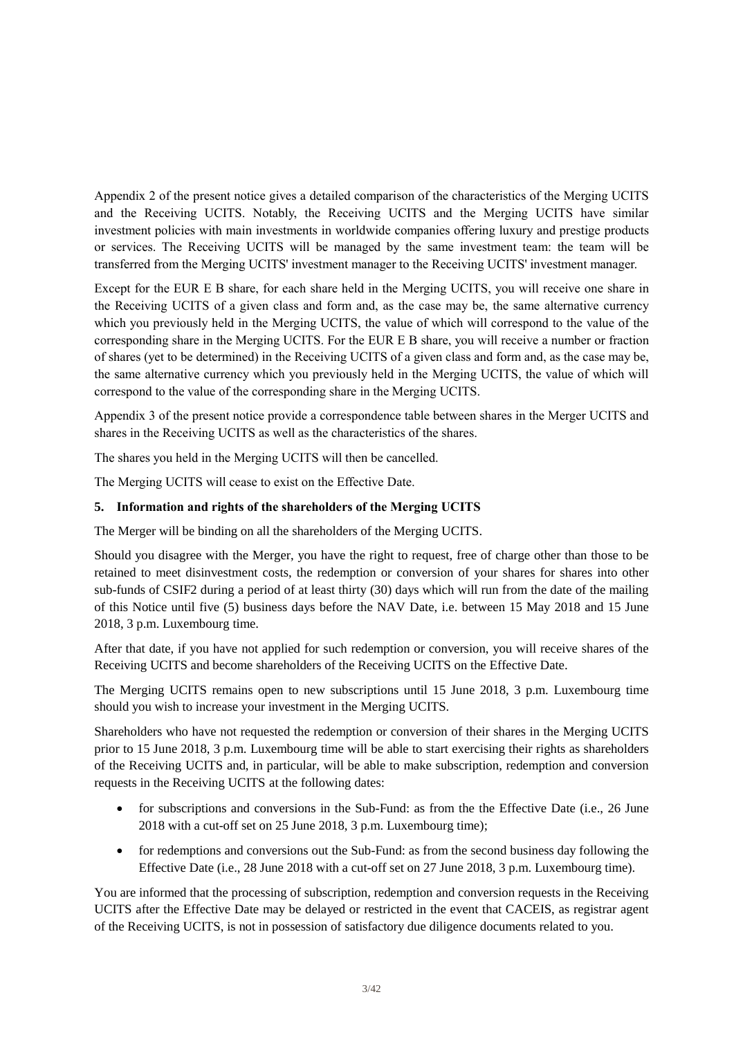Appendix 2 of the present notice gives a detailed comparison of the characteristics of the Merging UCITS investment policies with main investments in worldwide companies offering luxury and prestige products or services. The Receiving UCITS will be managed by the same investment team: the team will be transferred from the Merging UCITS' investment manager to the Receiving UCITS' investment manager. and the Receiving UCITS. Notably, the Receiving UCITS and the Merging UCITS have similar

 Except for the EUR E B share, for each share held in the Merging UCITS, you will receive one share in the Receiving UCITS of a given class and form and, as the case may be, the same alternative currency which you previously held in the Merging UCITS, the value of which will correspond to the value of the corresponding share in the Merging UCITS. For the EUR E B share, you will receive a number or fraction of shares (yet to be determined) in the Receiving UCITS of a given class and form and, as the case may be, the same alternative currency which you previously held in the Merging UCITS, the value of which will correspond to the value of the corresponding share in the Merging UCITS.

 Appendix 3 of the present notice provide a correspondence table between shares in the Merger UCITS and shares in the Receiving UCITS as well as the characteristics of the shares.

The shares you held in the Merging UCITS will then be cancelled.

The Merging UCITS will cease to exist on the Effective Date.

# **5. Information and rights of the shareholders of the Merging UCITS**

The Merger will be binding on all the shareholders of the Merging UCITS.

 Should you disagree with the Merger, you have the right to request, free of charge other than those to be retained to meet disinvestment costs, the redemption or conversion of your shares for shares into other sub-funds of CSIF2 during a period of at least thirty (30) days which will run from the date of the mailing of this Notice until five (5) business days before the NAV Date, i.e. between 15 May 2018 and 15 June 2018, 3 p.m. Luxembourg time.

 After that date, if you have not applied for such redemption or conversion, you will receive shares of the Receiving UCITS and become shareholders of the Receiving UCITS on the Effective Date.

 The Merging UCITS remains open to new subscriptions until 15 June 2018, 3 p.m. Luxembourg time should you wish to increase your investment in the Merging UCITS.

 Shareholders who have not requested the redemption or conversion of their shares in the Merging UCITS prior to 15 June 2018, 3 p.m. Luxembourg time will be able to start exercising their rights as shareholders of the Receiving UCITS and, in particular, will be able to make subscription, redemption and conversion requests in the Receiving UCITS at the following dates:

- for subscriptions and conversions in the Sub-Fund: as from the the Effective Date (i.e., 26 June 2018 with a cut-off set on 25 June 2018, 3 p.m. Luxembourg time);
- for redemptions and conversions out the Sub-Fund: as from the second business day following the Effective Date (i.e., 28 June 2018 with a cut-off set on 27 June 2018, 3 p.m. Luxembourg time).

 UCITS after the Effective Date may be delayed or restricted in the event that CACEIS, as registrar agent You are informed that the processing of subscription, redemption and conversion requests in the Receiving of the Receiving UCITS, is not in possession of satisfactory due diligence documents related to you.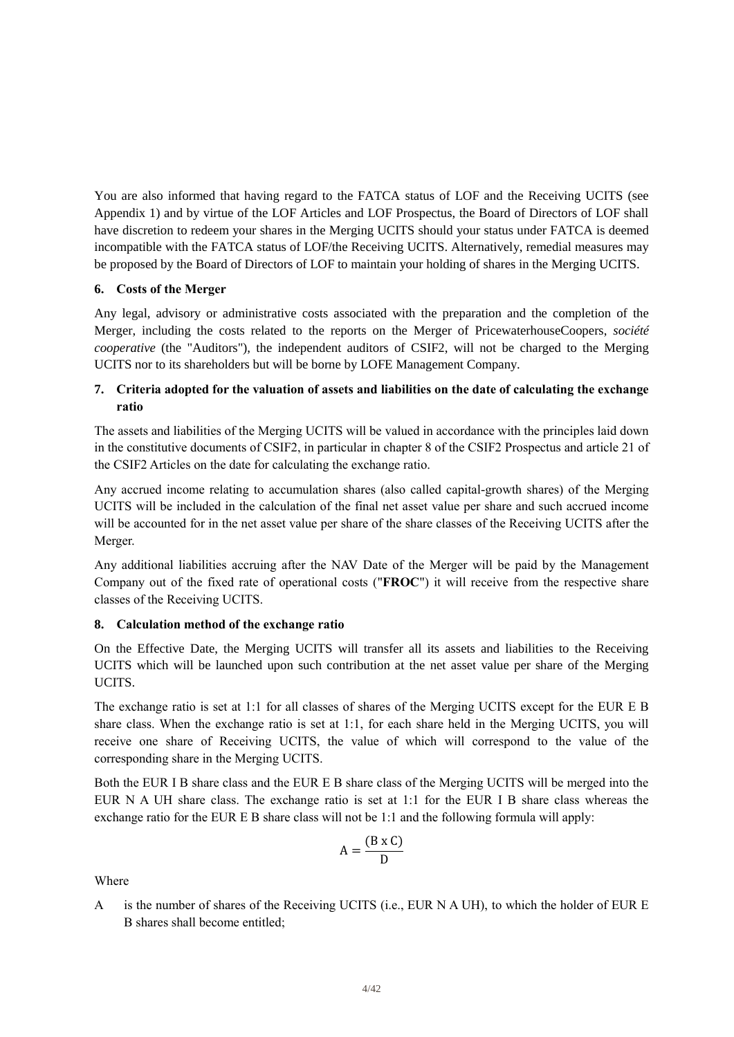You are also informed that having regard to the FATCA status of LOF and the Receiving UCITS (see Appendix 1) and by virtue of the LOF Articles and LOF Prospectus, the Board of Directors of LOF shall have discretion to redeem your shares in the Merging UCITS should your status under FATCA is deemed incompatible with the FATCA status of LOF/the Receiving UCITS. Alternatively, remedial measures may be proposed by the Board of Directors of LOF to maintain your holding of shares in the Merging UCITS.

# **6. Costs of the Merger**

 Any legal, advisory or administrative costs associated with the preparation and the completion of the Merger, including the costs related to the reports on the Merger of PricewaterhouseCoopers, *société cooperative* (the "Auditors"), the independent auditors of CSIF2, will not be charged to the Merging UCITS nor to its shareholders but will be borne by LOFE Management Company.

# **7. Criteria adopted for the valuation of assets and liabilities on the date of calculating the exchange ratio**

The assets and liabilities of the Merging UCITS will be valued in accordance with the principles laid down in the constitutive documents of CSIF2, in particular in chapter 8 of the CSIF2 Prospectus and article 21 of the CSIF2 Articles on the date for calculating the exchange ratio.

 Any accrued income relating to accumulation shares (also called capital-growth shares) of the Merging UCITS will be included in the calculation of the final net asset value per share and such accrued income will be accounted for in the net asset value per share of the share classes of the Receiving UCITS after the Merger.

 Any additional liabilities accruing after the NAV Date of the Merger will be paid by the Management Company out of the fixed rate of operational costs ("**FROC**") it will receive from the respective share classes of the Receiving UCITS.

### **8. Calculation method of the exchange ratio**

 On the Effective Date, the Merging UCITS will transfer all its assets and liabilities to the Receiving UCITS which will be launched upon such contribution at the net asset value per share of the Merging UCITS.

UCITS.<br>The exchange ratio is set at 1:1 for all classes of shares of the Merging UCITS except for the EUR E B share class. When the exchange ratio is set at 1:1, for each share held in the Merging UCITS, you will receive one share of Receiving UCITS, the value of which will correspond to the value of the corresponding share in the Merging UCITS.

 Both the EUR I B share class and the EUR E B share class of the Merging UCITS will be merged into the EUR N A UH share class. The exchange ratio is set at 1:1 for the EUR I B share class whereas the exchange ratio for the EUR E B share class will not be 1:1 and the following formula will apply:

$$
A = \frac{(B \times C)}{D}
$$

Where

 A is the number of shares of the Receiving UCITS (i.e., EUR N A UH), to which the holder of EUR E B shares shall become entitled;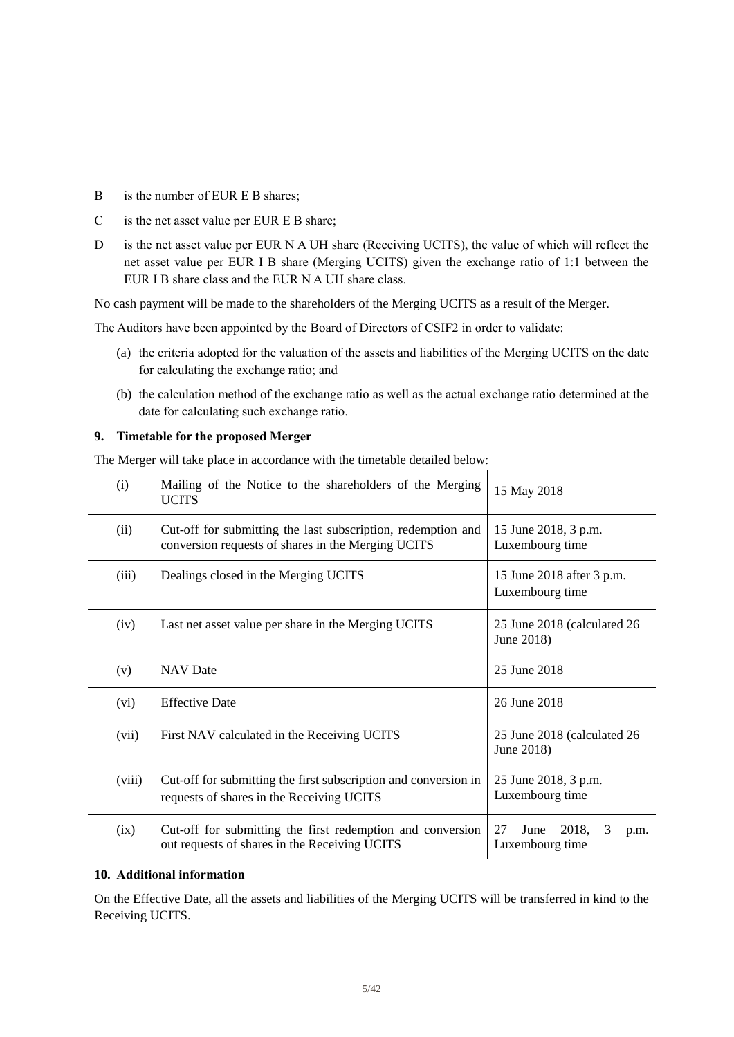- B is the number of EUR E B shares;
- C is the net asset value per EUR E B share;
- D is the net asset value per EUR N A UH share (Receiving UCITS), the value of which will reflect the net asset value per EUR I B share (Merging UCITS) given the exchange ratio of 1:1 between the EUR I B share class and the EUR N A UH share class.

No cash payment will be made to the shareholders of the Merging UCITS as a result of the Merger.

The Auditors have been appointed by the Board of Directors of CSIF2 in order to validate:

- (a) the criteria adopted for the valuation of the assets and liabilities of the Merging UCITS on the date for calculating the exchange ratio; and
- (b) the calculation method of the exchange ratio as well as the actual exchange ratio determined at the date for calculating such exchange ratio.

#### **9. Timetable for the proposed Merger**

The Merger will take place in accordance with the timetable detailed below:

| (i)    | Mailing of the Notice to the shareholders of the Merging<br><b>UCITS</b>                                           | 15 May 2018                                         |  |  |  |
|--------|--------------------------------------------------------------------------------------------------------------------|-----------------------------------------------------|--|--|--|
| (ii)   | Cut-off for submitting the last subscription, redemption and<br>conversion requests of shares in the Merging UCITS | 15 June 2018, 3 p.m.<br>Luxembourg time             |  |  |  |
| (iii)  | Dealings closed in the Merging UCITS                                                                               | 15 June 2018 after 3 p.m.<br>Luxembourg time        |  |  |  |
| (iv)   | Last net asset value per share in the Merging UCITS                                                                | 25 June 2018 (calculated 26<br>June 2018)           |  |  |  |
| (v)    | <b>NAV</b> Date                                                                                                    | 25 June 2018                                        |  |  |  |
| (vi)   | <b>Effective Date</b>                                                                                              | 26 June 2018                                        |  |  |  |
| (vii)  | First NAV calculated in the Receiving UCITS                                                                        | 25 June 2018 (calculated 26<br>June 2018)           |  |  |  |
| (viii) | Cut-off for submitting the first subscription and conversion in<br>requests of shares in the Receiving UCITS       | 25 June 2018, 3 p.m.<br>Luxembourg time             |  |  |  |
| (ix)   | Cut-off for submitting the first redemption and conversion<br>out requests of shares in the Receiving UCITS        | 27<br>June<br>2018,<br>3<br>p.m.<br>Luxembourg time |  |  |  |

#### **10. Additional information**

 On the Effective Date, all the assets and liabilities of the Merging UCITS will be transferred in kind to the Receiving UCITS.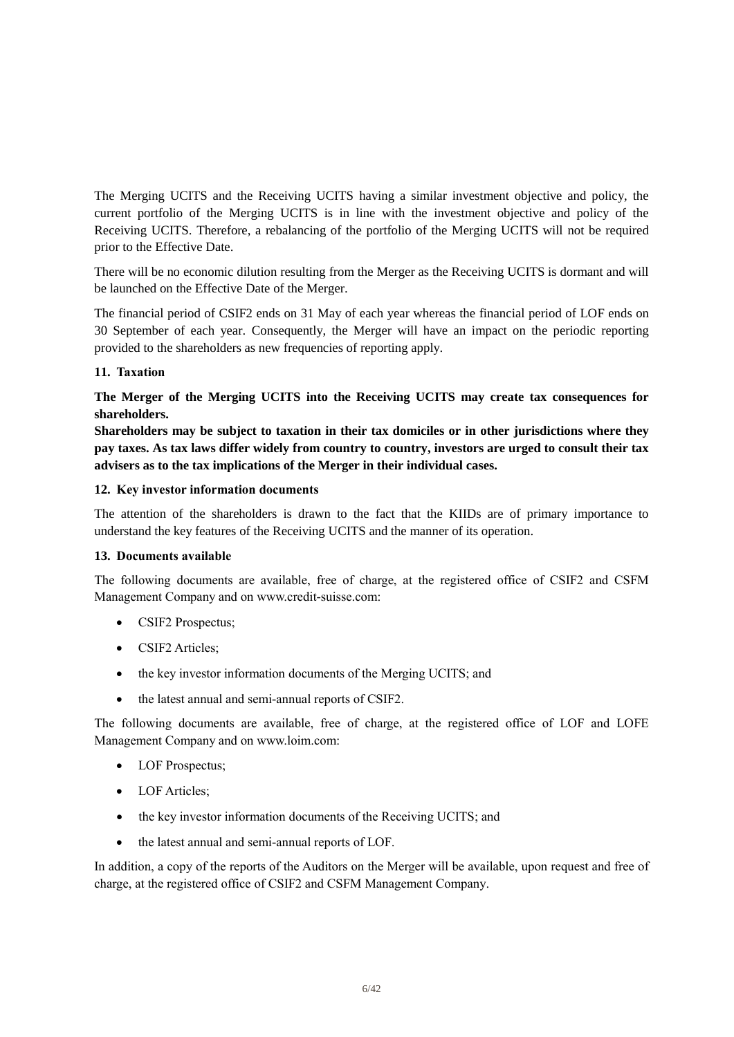The Merging UCITS and the Receiving UCITS having a similar investment objective and policy, the current portfolio of the Merging UCITS is in line with the investment objective and policy of the Receiving UCITS. Therefore, a rebalancing of the portfolio of the Merging UCITS will not be required prior to the Effective Date.

 There will be no economic dilution resulting from the Merger as the Receiving UCITS is dormant and will be launched on the Effective Date of the Merger.

 The financial period of CSIF2 ends on 31 May of each year whereas the financial period of LOF ends on 30 September of each year. Consequently, the Merger will have an impact on the periodic reporting provided to the shareholders as new frequencies of reporting apply.

# **11. Taxation**

 **The Merger of the Merging UCITS into the Receiving UCITS may create tax consequences for shareholders.** 

 **Shareholders may be subject to taxation in their tax domiciles or in other jurisdictions where they pay taxes. As tax laws differ widely from country to country, investors are urged to consult their tax advisers as to the tax implications of the Merger in their individual cases.** 

### **12. Key investor information documents**

 The attention of the shareholders is drawn to the fact that the KIIDs are of primary importance to understand the key features of the Receiving UCITS and the manner of its operation.

### **13. Documents available**

 The following documents are available, free of charge, at the registered office of CSIF2 and CSFM Management Company and on www.credit-suisse.com:

- CSIF2 Prospectus;
- CSIF2 Articles:
- the key investor information documents of the Merging UCITS; and
- the latest annual and semi-annual reports of CSIF2.

 The following documents are available, free of charge, at the registered office of LOF and LOFE Management Company and on www.loim.com:

- LOF Prospectus;
- LOF Articles:
- the key investor information documents of the Receiving UCITS; and
- the latest annual and semi-annual reports of LOF.

 In addition, a copy of the reports of the Auditors on the Merger will be available, upon request and free of charge, at the registered office of CSIF2 and CSFM Management Company.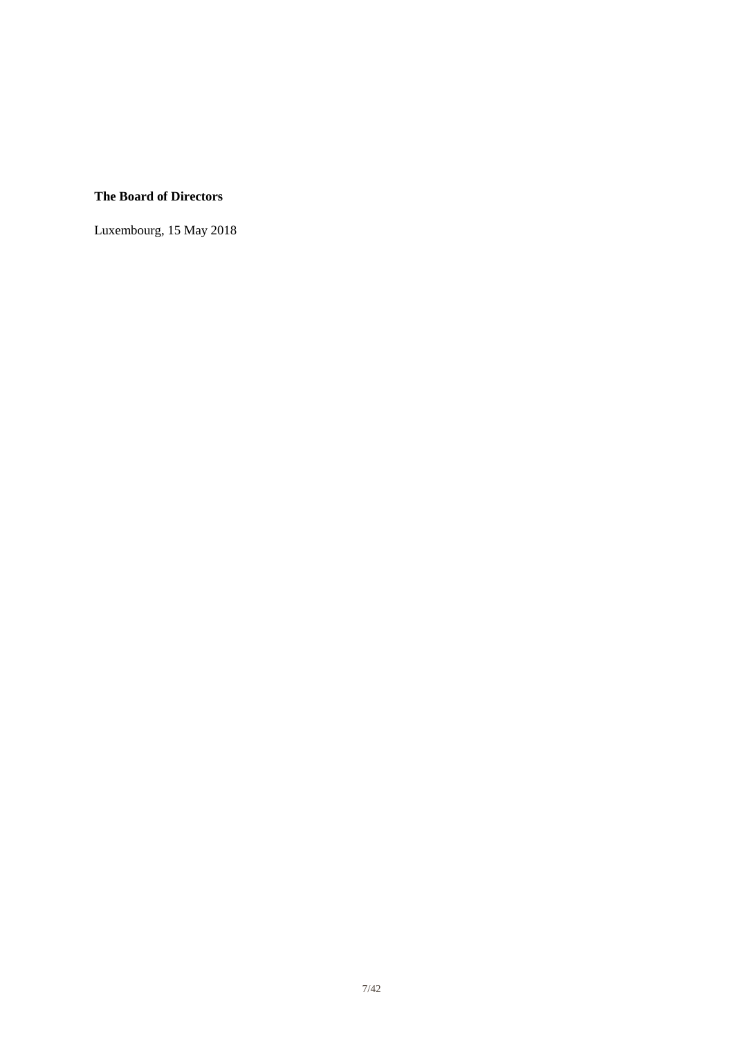# **The Board of Directors**

Luxembourg, 15 May 2018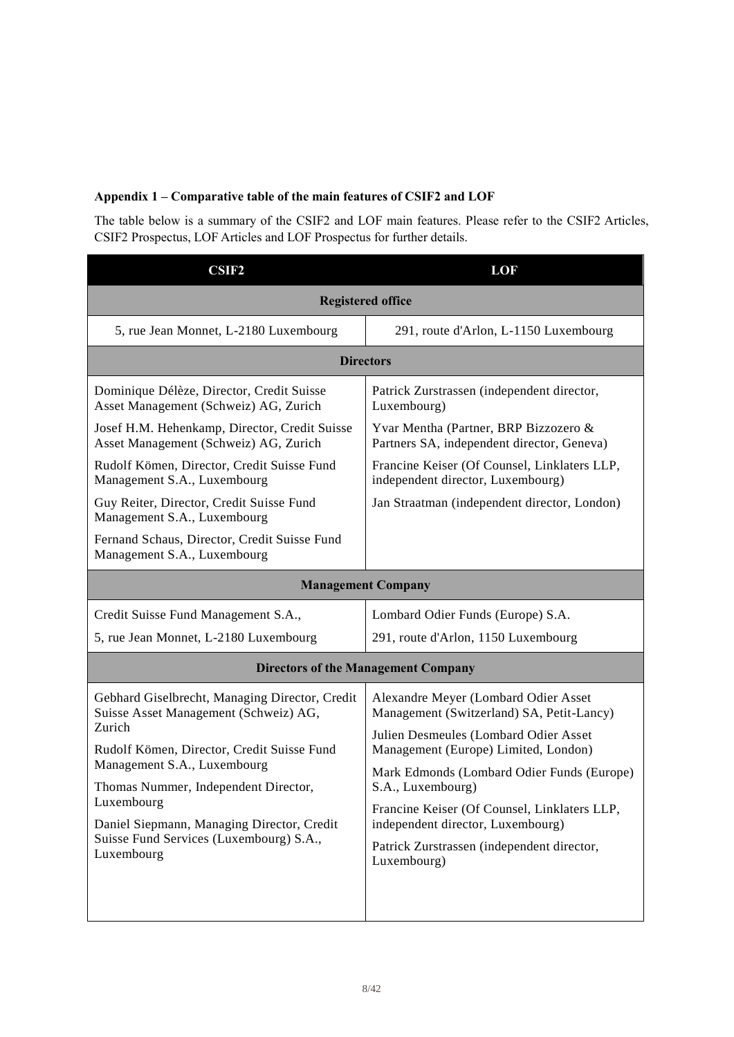# **Appendix 1 – Comparative table of the main features of CSIF2 and LOF**

 The table below is a summary of the CSIF2 and LOF main features. Please refer to the CSIF2 Articles, CSIF2 Prospectus, LOF Articles and LOF Prospectus for further details.

| <b>CSIF2</b>                                                                            | LOF                                                                                 |  |
|-----------------------------------------------------------------------------------------|-------------------------------------------------------------------------------------|--|
|                                                                                         | <b>Registered office</b>                                                            |  |
| 5, rue Jean Monnet, L-2180 Luxembourg                                                   | 291, route d'Arlon, L-1150 Luxembourg                                               |  |
|                                                                                         | <b>Directors</b>                                                                    |  |
| Dominique Délèze, Director, Credit Suisse<br>Asset Management (Schweiz) AG, Zurich      | Patrick Zurstrassen (independent director,<br>Luxembourg)                           |  |
| Josef H.M. Hehenkamp, Director, Credit Suisse<br>Asset Management (Schweiz) AG, Zurich  | Yvar Mentha (Partner, BRP Bizzozero &<br>Partners SA, independent director, Geneva) |  |
| Rudolf Kömen, Director, Credit Suisse Fund<br>Management S.A., Luxembourg               | Francine Keiser (Of Counsel, Linklaters LLP,<br>independent director, Luxembourg)   |  |
| Guy Reiter, Director, Credit Suisse Fund<br>Management S.A., Luxembourg                 | Jan Straatman (independent director, London)                                        |  |
| Fernand Schaus, Director, Credit Suisse Fund<br>Management S.A., Luxembourg             |                                                                                     |  |
| <b>Management Company</b>                                                               |                                                                                     |  |
| Credit Suisse Fund Management S.A.,                                                     | Lombard Odier Funds (Europe) S.A.                                                   |  |
| 5, rue Jean Monnet, L-2180 Luxembourg                                                   | 291, route d'Arlon, 1150 Luxembourg                                                 |  |
|                                                                                         | <b>Directors of the Management Company</b>                                          |  |
| Gebhard Giselbrecht, Managing Director, Credit<br>Suisse Asset Management (Schweiz) AG, | Alexandre Meyer (Lombard Odier Asset<br>Management (Switzerland) SA, Petit-Lancy)   |  |
| Zurich<br>Rudolf Kömen, Director, Credit Suisse Fund                                    | Julien Desmeules (Lombard Odier Asset<br>Management (Europe) Limited, London)       |  |
| Management S.A., Luxembourg                                                             | Mark Edmonds (Lombard Odier Funds (Europe)                                          |  |
| Thomas Nummer, Independent Director,                                                    | S.A., Luxembourg)                                                                   |  |
| Luxembourg<br>Daniel Siepmann, Managing Director, Credit                                | Francine Keiser (Of Counsel, Linklaters LLP,<br>independent director, Luxembourg)   |  |
| Suisse Fund Services (Luxembourg) S.A.,<br>Luxembourg                                   | Patrick Zurstrassen (independent director,<br>Luxembourg)                           |  |
|                                                                                         |                                                                                     |  |
|                                                                                         |                                                                                     |  |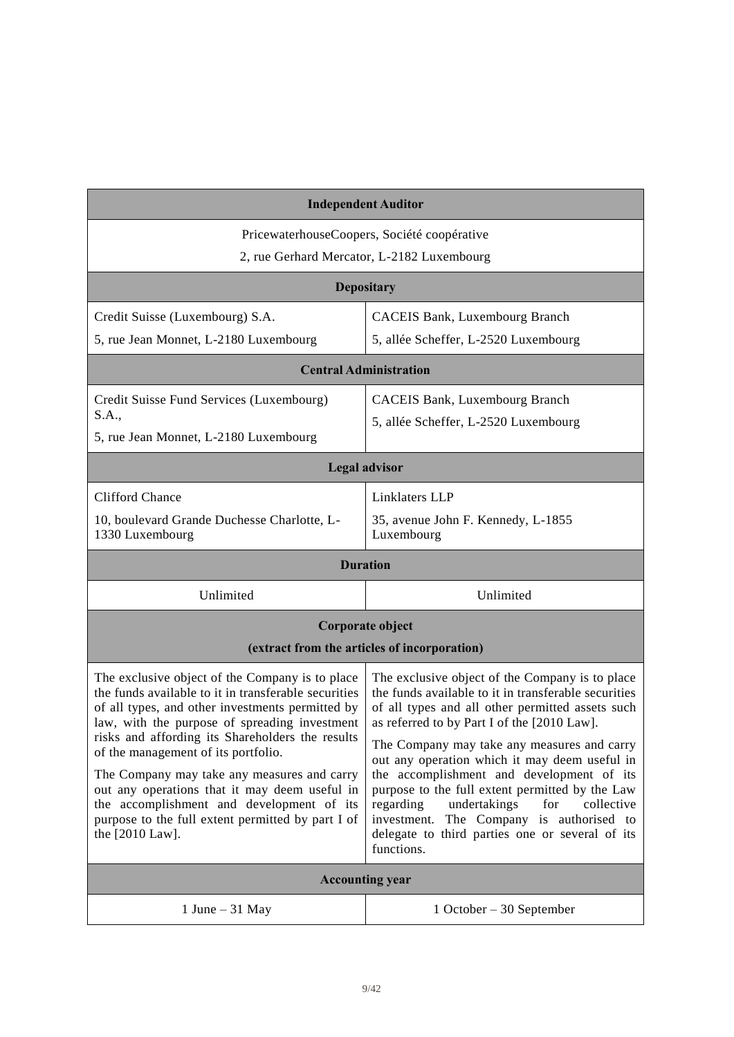| <b>Independent Auditor</b>                                                                                                                                                                                                                                       |                                                                                                                                                                                                                                                                |  |  |  |
|------------------------------------------------------------------------------------------------------------------------------------------------------------------------------------------------------------------------------------------------------------------|----------------------------------------------------------------------------------------------------------------------------------------------------------------------------------------------------------------------------------------------------------------|--|--|--|
| PricewaterhouseCoopers, Société coopérative<br>2, rue Gerhard Mercator, L-2182 Luxembourg                                                                                                                                                                        |                                                                                                                                                                                                                                                                |  |  |  |
|                                                                                                                                                                                                                                                                  | <b>Depositary</b>                                                                                                                                                                                                                                              |  |  |  |
| Credit Suisse (Luxembourg) S.A.                                                                                                                                                                                                                                  | <b>CACEIS Bank, Luxembourg Branch</b>                                                                                                                                                                                                                          |  |  |  |
| 5, rue Jean Monnet, L-2180 Luxembourg                                                                                                                                                                                                                            | 5, allée Scheffer, L-2520 Luxembourg                                                                                                                                                                                                                           |  |  |  |
|                                                                                                                                                                                                                                                                  | <b>Central Administration</b>                                                                                                                                                                                                                                  |  |  |  |
| Credit Suisse Fund Services (Luxembourg)<br>S.A.,                                                                                                                                                                                                                | <b>CACEIS Bank, Luxembourg Branch</b>                                                                                                                                                                                                                          |  |  |  |
| 5, rue Jean Monnet, L-2180 Luxembourg                                                                                                                                                                                                                            | 5, allée Scheffer, L-2520 Luxembourg                                                                                                                                                                                                                           |  |  |  |
| <b>Legal advisor</b>                                                                                                                                                                                                                                             |                                                                                                                                                                                                                                                                |  |  |  |
| <b>Clifford Chance</b>                                                                                                                                                                                                                                           | Linklaters LLP                                                                                                                                                                                                                                                 |  |  |  |
| 10, boulevard Grande Duchesse Charlotte, L-<br>1330 Luxembourg                                                                                                                                                                                                   | 35, avenue John F. Kennedy, L-1855<br>Luxembourg                                                                                                                                                                                                               |  |  |  |
|                                                                                                                                                                                                                                                                  | <b>Duration</b>                                                                                                                                                                                                                                                |  |  |  |
| Unlimited<br>Unlimited                                                                                                                                                                                                                                           |                                                                                                                                                                                                                                                                |  |  |  |
| Corporate object                                                                                                                                                                                                                                                 |                                                                                                                                                                                                                                                                |  |  |  |
| (extract from the articles of incorporation)                                                                                                                                                                                                                     |                                                                                                                                                                                                                                                                |  |  |  |
| The exclusive object of the Company is to place<br>the funds available to it in transferable securities<br>of all types, and other investments permitted by<br>law, with the purpose of spreading investment<br>risks and affording its Shareholders the results | The exclusive object of the Company is to place<br>the funds available to it in transferable securities<br>of all types and all other permitted assets such<br>as referred to by Part I of the [2010 Law].                                                     |  |  |  |
| of the management of its portfolio.                                                                                                                                                                                                                              | The Company may take any measures and carry<br>out any operation which it may deem useful in                                                                                                                                                                   |  |  |  |
| The Company may take any measures and carry<br>out any operations that it may deem useful in<br>the accomplishment and development of its<br>purpose to the full extent permitted by part I of<br>the $[2010 \text{ Law}]$ .                                     | the accomplishment and development of its<br>purpose to the full extent permitted by the Law<br>regarding<br>undertakings<br>for<br>collective<br>The Company is authorised to<br>investment.<br>delegate to third parties one or several of its<br>functions. |  |  |  |
|                                                                                                                                                                                                                                                                  | <b>Accounting year</b>                                                                                                                                                                                                                                         |  |  |  |
| 1 June $-31$ May                                                                                                                                                                                                                                                 | $1$ October – 30 September                                                                                                                                                                                                                                     |  |  |  |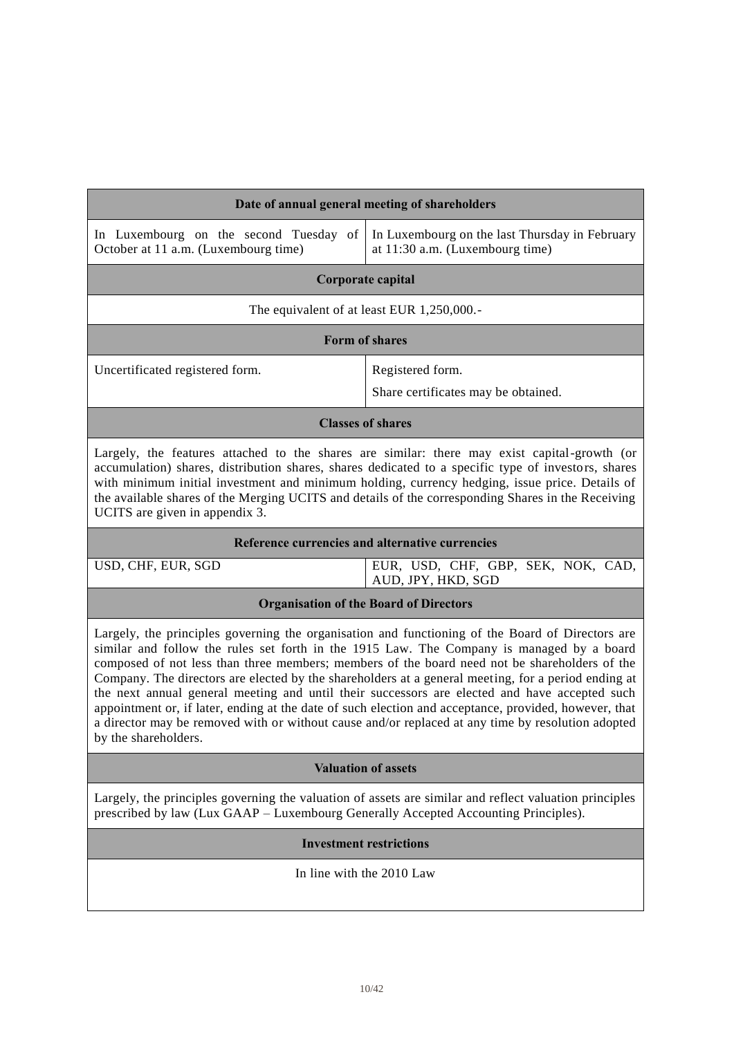| Date of annual general meeting of shareholders                                                                                                                                                                                                                                                                                                                                                                                                                                                                                                                                                                                                                                                                                               |                                                                                   |  |
|----------------------------------------------------------------------------------------------------------------------------------------------------------------------------------------------------------------------------------------------------------------------------------------------------------------------------------------------------------------------------------------------------------------------------------------------------------------------------------------------------------------------------------------------------------------------------------------------------------------------------------------------------------------------------------------------------------------------------------------------|-----------------------------------------------------------------------------------|--|
| In Luxembourg on the second Tuesday of<br>October at 11 a.m. (Luxembourg time)                                                                                                                                                                                                                                                                                                                                                                                                                                                                                                                                                                                                                                                               | In Luxembourg on the last Thursday in February<br>at 11:30 a.m. (Luxembourg time) |  |
|                                                                                                                                                                                                                                                                                                                                                                                                                                                                                                                                                                                                                                                                                                                                              | Corporate capital                                                                 |  |
|                                                                                                                                                                                                                                                                                                                                                                                                                                                                                                                                                                                                                                                                                                                                              | The equivalent of at least EUR 1,250,000.-                                        |  |
|                                                                                                                                                                                                                                                                                                                                                                                                                                                                                                                                                                                                                                                                                                                                              | Form of shares                                                                    |  |
| Uncertificated registered form.                                                                                                                                                                                                                                                                                                                                                                                                                                                                                                                                                                                                                                                                                                              | Registered form.<br>Share certificates may be obtained.                           |  |
|                                                                                                                                                                                                                                                                                                                                                                                                                                                                                                                                                                                                                                                                                                                                              | <b>Classes of shares</b>                                                          |  |
| Largely, the features attached to the shares are similar: there may exist capital-growth (or<br>accumulation) shares, distribution shares, shares dedicated to a specific type of investors, shares<br>with minimum initial investment and minimum holding, currency hedging, issue price. Details of<br>the available shares of the Merging UCITS and details of the corresponding Shares in the Receiving<br>UCITS are given in appendix 3.                                                                                                                                                                                                                                                                                                |                                                                                   |  |
|                                                                                                                                                                                                                                                                                                                                                                                                                                                                                                                                                                                                                                                                                                                                              | Reference currencies and alternative currencies                                   |  |
| USD, CHF, EUR, SGD<br>EUR, USD, CHF, GBP, SEK, NOK, CAD,<br>AUD, JPY, HKD, SGD                                                                                                                                                                                                                                                                                                                                                                                                                                                                                                                                                                                                                                                               |                                                                                   |  |
| <b>Organisation of the Board of Directors</b>                                                                                                                                                                                                                                                                                                                                                                                                                                                                                                                                                                                                                                                                                                |                                                                                   |  |
| Largely, the principles governing the organisation and functioning of the Board of Directors are<br>similar and follow the rules set forth in the 1915 Law. The Company is managed by a board<br>composed of not less than three members; members of the board need not be shareholders of the<br>Company. The directors are elected by the shareholders at a general meeting, for a period ending at<br>the next annual general meeting and until their successors are elected and have accepted such<br>appointment or, if later, ending at the date of such election and acceptance, provided, however, that<br>a director may be removed with or without cause and/or replaced at any time by resolution adopted<br>by the shareholders. |                                                                                   |  |
| <b>Valuation of assets</b>                                                                                                                                                                                                                                                                                                                                                                                                                                                                                                                                                                                                                                                                                                                   |                                                                                   |  |
| Largely, the principles governing the valuation of assets are similar and reflect valuation principles<br>prescribed by law (Lux GAAP - Luxembourg Generally Accepted Accounting Principles).                                                                                                                                                                                                                                                                                                                                                                                                                                                                                                                                                |                                                                                   |  |
| <b>Investment restrictions</b>                                                                                                                                                                                                                                                                                                                                                                                                                                                                                                                                                                                                                                                                                                               |                                                                                   |  |
| In line with the 2010 Law                                                                                                                                                                                                                                                                                                                                                                                                                                                                                                                                                                                                                                                                                                                    |                                                                                   |  |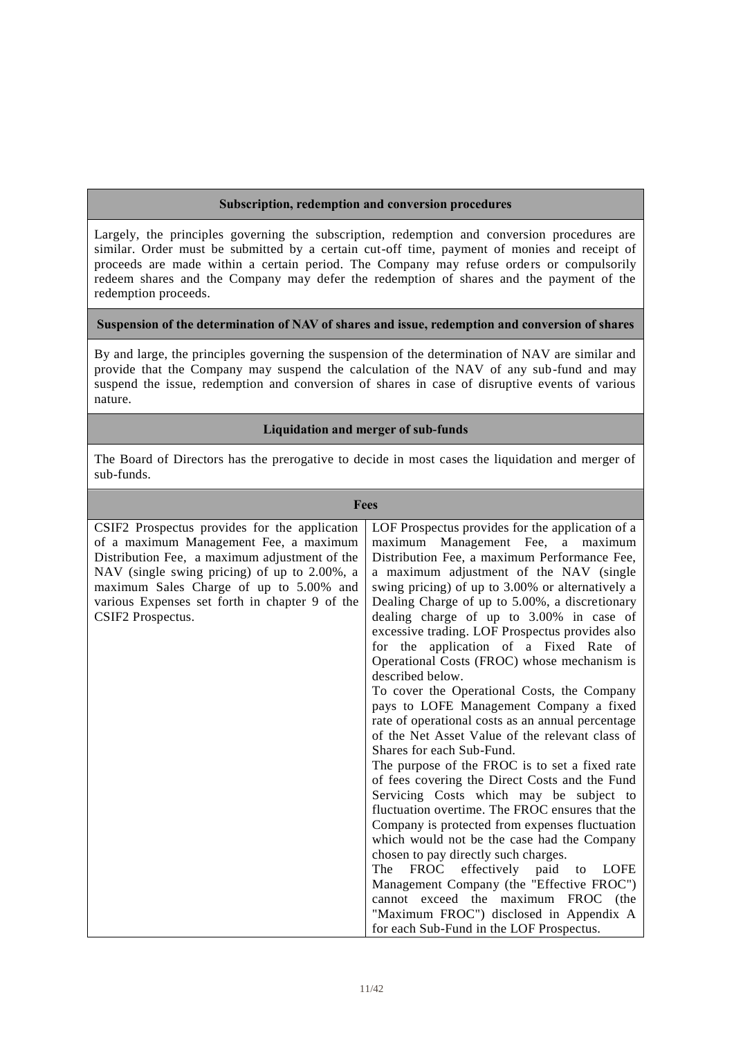#### **Subscription, redemption and conversion procedures**

 Largely, the principles governing the subscription, redemption and conversion procedures are similar. Order must be submitted by a certain cut-off time, payment of monies and receipt of proceeds are made within a certain period. The Company may refuse orders or compulsorily redeem shares and the Company may defer the redemption of shares and the payment of the redemption proceeds.

#### **Suspension of the determination of NAV of shares and issue, redemption and conversion of shares**

 By and large, the principles governing the suspension of the determination of NAV are similar and provide that the Company may suspend the calculation of the NAV of any sub-fund and may suspend the issue, redemption and conversion of shares in case of disruptive events of various nature.

### **Liquidation and merger of sub-funds**

 The Board of Directors has the prerogative to decide in most cases the liquidation and merger of sub-funds.

| <b>Fees</b>                                    |                                                   |
|------------------------------------------------|---------------------------------------------------|
| CSIF2 Prospectus provides for the application  | LOF Prospectus provides for the application of a  |
| of a maximum Management Fee, a maximum         | Management Fee, a maximum<br>maximum              |
| Distribution Fee, a maximum adjustment of the  | Distribution Fee, a maximum Performance Fee,      |
| NAV (single swing pricing) of up to 2.00%, a   | a maximum adjustment of the NAV (single           |
| maximum Sales Charge of up to 5.00% and        | swing pricing) of up to 3.00% or alternatively a  |
| various Expenses set forth in chapter 9 of the | Dealing Charge of up to 5.00%, a discretionary    |
| CSIF2 Prospectus.                              | dealing charge of up to 3.00% in case of          |
|                                                | excessive trading. LOF Prospectus provides also   |
|                                                | for the application of a Fixed Rate of            |
|                                                | Operational Costs (FROC) whose mechanism is       |
|                                                | described below.                                  |
|                                                | To cover the Operational Costs, the Company       |
|                                                | pays to LOFE Management Company a fixed           |
|                                                | rate of operational costs as an annual percentage |
|                                                | of the Net Asset Value of the relevant class of   |
|                                                | Shares for each Sub-Fund.                         |
|                                                | The purpose of the FROC is to set a fixed rate    |
|                                                | of fees covering the Direct Costs and the Fund    |
|                                                | Servicing Costs which may be subject to           |
|                                                | fluctuation overtime. The FROC ensures that the   |
|                                                | Company is protected from expenses fluctuation    |
|                                                | which would not be the case had the Company       |
|                                                |                                                   |
|                                                | chosen to pay directly such charges.              |
|                                                | FROC effectively paid<br>The<br><b>LOFE</b><br>to |
|                                                | Management Company (the "Effective FROC")         |
|                                                | cannot exceed the maximum FROC (the               |
|                                                | "Maximum FROC") disclosed in Appendix A           |
|                                                | for each Sub-Fund in the LOF Prospectus.          |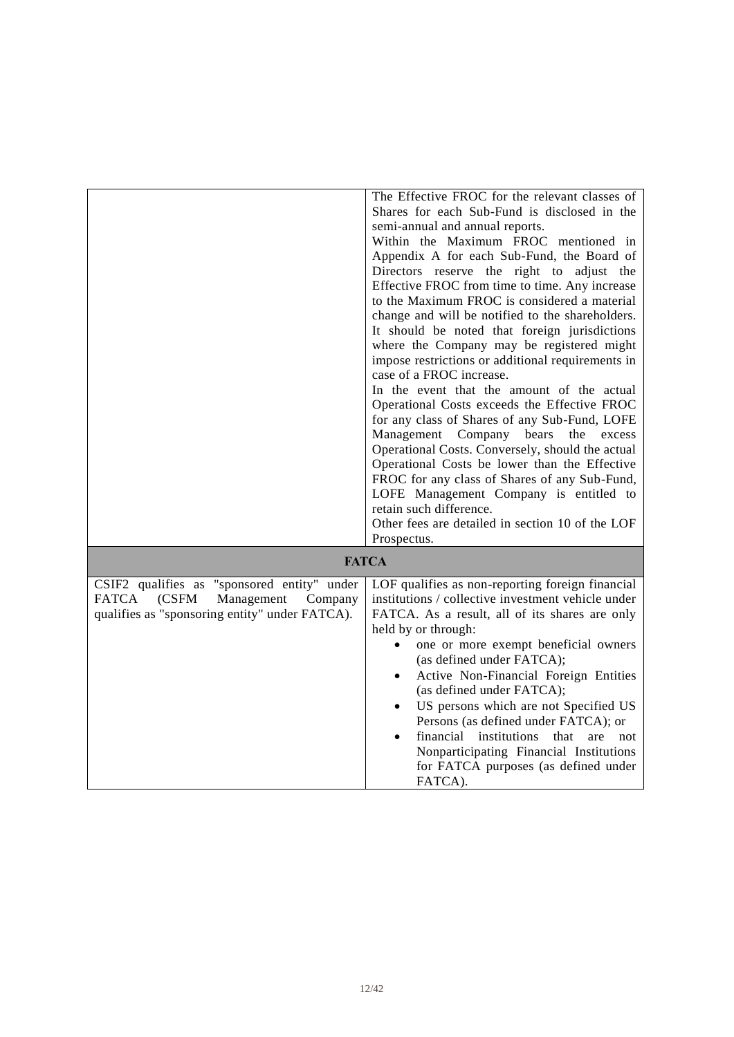|                                                | The Effective FROC for the relevant classes of            |
|------------------------------------------------|-----------------------------------------------------------|
|                                                | Shares for each Sub-Fund is disclosed in the              |
|                                                | semi-annual and annual reports.                           |
|                                                | Within the Maximum FROC mentioned in                      |
|                                                | Appendix A for each Sub-Fund, the Board of                |
|                                                | Directors reserve the right to adjust the                 |
|                                                | Effective FROC from time to time. Any increase            |
|                                                | to the Maximum FROC is considered a material              |
|                                                | change and will be notified to the shareholders.          |
|                                                | It should be noted that foreign jurisdictions             |
|                                                | where the Company may be registered might                 |
|                                                | impose restrictions or additional requirements in         |
|                                                | case of a FROC increase.                                  |
|                                                | In the event that the amount of the actual                |
|                                                | Operational Costs exceeds the Effective FROC              |
|                                                | for any class of Shares of any Sub-Fund, LOFE             |
|                                                | Management Company bears<br>the excess                    |
|                                                | Operational Costs. Conversely, should the actual          |
|                                                | Operational Costs be lower than the Effective             |
|                                                | FROC for any class of Shares of any Sub-Fund,             |
|                                                | LOFE Management Company is entitled to                    |
|                                                | retain such difference.                                   |
|                                                | Other fees are detailed in section 10 of the LOF          |
|                                                | Prospectus.                                               |
|                                                |                                                           |
|                                                | <b>FATCA</b>                                              |
| CSIF2 qualifies as "sponsored entity" under    | LOF qualifies as non-reporting foreign financial          |
| FATCA<br>(CSFM<br>Management<br>Company        | institutions / collective investment vehicle under        |
| qualifies as "sponsoring entity" under FATCA). | FATCA. As a result, all of its shares are only            |
|                                                | held by or through:                                       |
|                                                | one or more exempt beneficial owners                      |
|                                                | (as defined under FATCA);                                 |
|                                                | Active Non-Financial Foreign Entities                     |
|                                                | (as defined under FATCA);                                 |
|                                                | US persons which are not Specified US                     |
|                                                | Persons (as defined under FATCA); or                      |
|                                                | financial institutions<br>that<br>are<br>not<br>$\bullet$ |
|                                                | Nonparticipating Financial Institutions                   |
|                                                | for FATCA purposes (as defined under                      |
|                                                | FATCA).                                                   |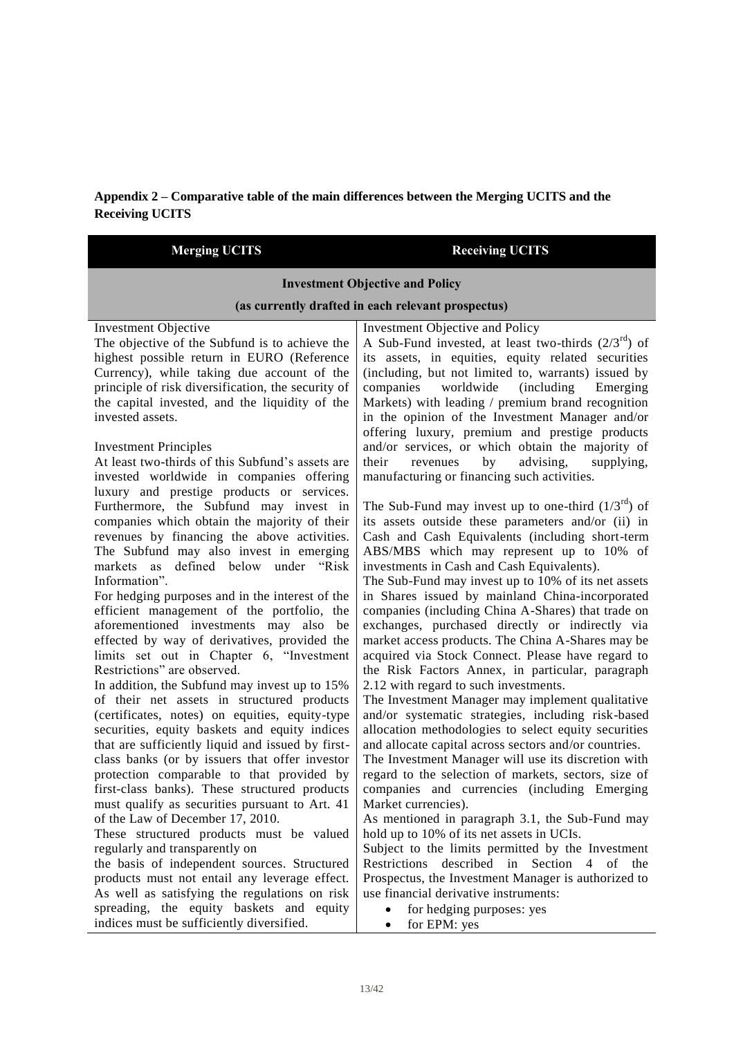# **Appendix 2 – Comparative table of the main differences between the Merging UCITS and the Receiving UCITS**

| <b>Merging UCITS</b>                                                                                                                                                                                                                                                                                                                                                                                                                                                                                                                                                                                                                                                                                                                                                                                                    | <b>Receiving UCITS</b>                                                                                                                                                                                                                                                                                                                                                                                                                                                                                                                                                                                                                                                                                                                                                                                                                                                                                          |  |  |  |  |
|-------------------------------------------------------------------------------------------------------------------------------------------------------------------------------------------------------------------------------------------------------------------------------------------------------------------------------------------------------------------------------------------------------------------------------------------------------------------------------------------------------------------------------------------------------------------------------------------------------------------------------------------------------------------------------------------------------------------------------------------------------------------------------------------------------------------------|-----------------------------------------------------------------------------------------------------------------------------------------------------------------------------------------------------------------------------------------------------------------------------------------------------------------------------------------------------------------------------------------------------------------------------------------------------------------------------------------------------------------------------------------------------------------------------------------------------------------------------------------------------------------------------------------------------------------------------------------------------------------------------------------------------------------------------------------------------------------------------------------------------------------|--|--|--|--|
| <b>Investment Objective and Policy</b>                                                                                                                                                                                                                                                                                                                                                                                                                                                                                                                                                                                                                                                                                                                                                                                  |                                                                                                                                                                                                                                                                                                                                                                                                                                                                                                                                                                                                                                                                                                                                                                                                                                                                                                                 |  |  |  |  |
|                                                                                                                                                                                                                                                                                                                                                                                                                                                                                                                                                                                                                                                                                                                                                                                                                         | (as currently drafted in each relevant prospectus)                                                                                                                                                                                                                                                                                                                                                                                                                                                                                                                                                                                                                                                                                                                                                                                                                                                              |  |  |  |  |
| <b>Investment Objective</b><br>The objective of the Subfund is to achieve the<br>highest possible return in EURO (Reference<br>Currency), while taking due account of the<br>principle of risk diversification, the security of<br>the capital invested, and the liquidity of the<br>invested assets.                                                                                                                                                                                                                                                                                                                                                                                                                                                                                                                   | Investment Objective and Policy<br>A Sub-Fund invested, at least two-thirds $(2/3^{rd})$ of<br>its assets, in equities, equity related securities<br>(including, but not limited to, warrants) issued by<br>(including)<br>companies<br>worldwide<br>Emerging<br>Markets) with leading / premium brand recognition<br>in the opinion of the Investment Manager and/or<br>offering luxury, premium and prestige products                                                                                                                                                                                                                                                                                                                                                                                                                                                                                         |  |  |  |  |
| <b>Investment Principles</b><br>At least two-thirds of this Subfund's assets are<br>invested worldwide in companies offering                                                                                                                                                                                                                                                                                                                                                                                                                                                                                                                                                                                                                                                                                            | and/or services, or which obtain the majority of<br>advising,<br>their<br>by<br>supplying,<br>revenues<br>manufacturing or financing such activities.                                                                                                                                                                                                                                                                                                                                                                                                                                                                                                                                                                                                                                                                                                                                                           |  |  |  |  |
| luxury and prestige products or services.<br>Furthermore, the Subfund may invest in<br>companies which obtain the majority of their<br>revenues by financing the above activities.<br>The Subfund may also invest in emerging<br>markets as defined below under "Risk"<br>Information".<br>For hedging purposes and in the interest of the<br>efficient management of the portfolio, the<br>aforementioned investments may also<br>be<br>effected by way of derivatives, provided the<br>limits set out in Chapter 6, "Investment<br>Restrictions" are observed.<br>In addition, the Subfund may invest up to 15%<br>of their net assets in structured products<br>(certificates, notes) on equities, equity-type<br>securities, equity baskets and equity indices<br>that are sufficiently liquid and issued by first- | The Sub-Fund may invest up to one-third $(1/3^{rd})$ of<br>its assets outside these parameters and/or (ii) in<br>Cash and Cash Equivalents (including short-term<br>ABS/MBS which may represent up to 10% of<br>investments in Cash and Cash Equivalents).<br>The Sub-Fund may invest up to 10% of its net assets<br>in Shares issued by mainland China-incorporated<br>companies (including China A-Shares) that trade on<br>exchanges, purchased directly or indirectly via<br>market access products. The China A-Shares may be<br>acquired via Stock Connect. Please have regard to<br>the Risk Factors Annex, in particular, paragraph<br>2.12 with regard to such investments.<br>The Investment Manager may implement qualitative<br>and/or systematic strategies, including risk-based<br>allocation methodologies to select equity securities<br>and allocate capital across sectors and/or countries. |  |  |  |  |
| class banks (or by issuers that offer investor<br>protection comparable to that provided by<br>first-class banks). These structured products<br>must qualify as securities pursuant to Art. 41<br>of the Law of December 17, 2010.<br>These structured products must be valued<br>regularly and transparently on                                                                                                                                                                                                                                                                                                                                                                                                                                                                                                        | The Investment Manager will use its discretion with<br>regard to the selection of markets, sectors, size of<br>companies and currencies (including Emerging<br>Market currencies).<br>As mentioned in paragraph 3.1, the Sub-Fund may<br>hold up to 10% of its net assets in UCIs.<br>Subject to the limits permitted by the Investment                                                                                                                                                                                                                                                                                                                                                                                                                                                                                                                                                                         |  |  |  |  |
| the basis of independent sources. Structured<br>products must not entail any leverage effect.<br>As well as satisfying the regulations on risk<br>spreading, the equity baskets and equity<br>indices must be sufficiently diversified.                                                                                                                                                                                                                                                                                                                                                                                                                                                                                                                                                                                 | Restrictions described in Section 4 of the<br>Prospectus, the Investment Manager is authorized to<br>use financial derivative instruments:<br>for hedging purposes: yes<br>for EPM: yes                                                                                                                                                                                                                                                                                                                                                                                                                                                                                                                                                                                                                                                                                                                         |  |  |  |  |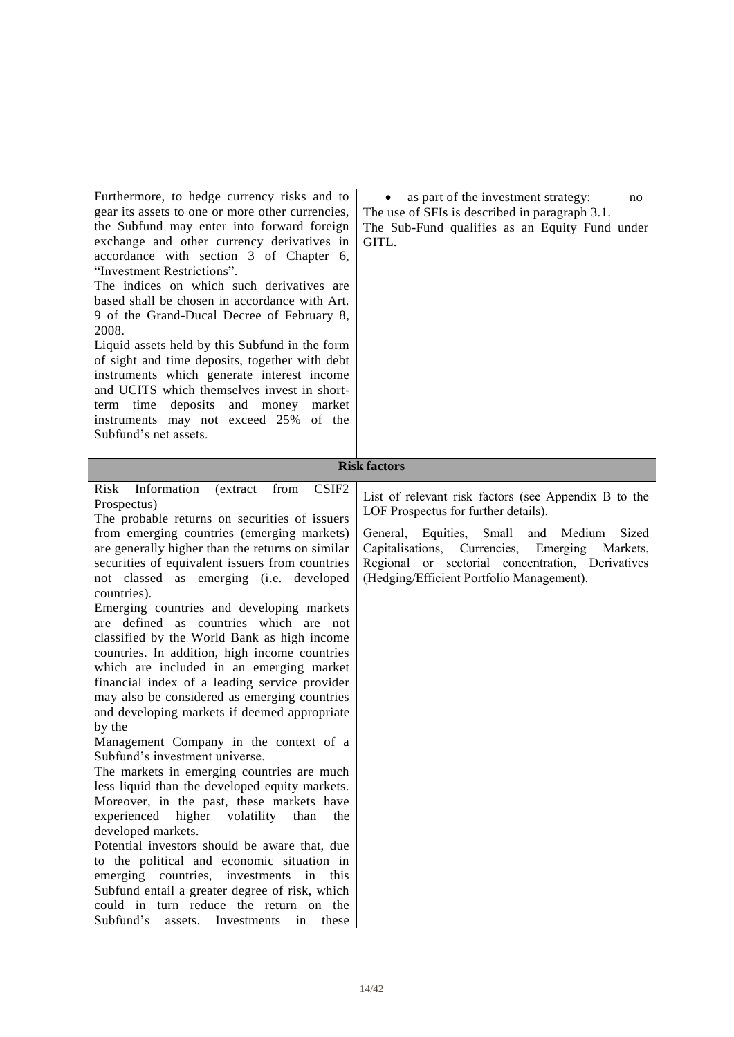| Furthermore, to hedge currency risks and to<br>gear its assets to one or more other currencies,<br>the Subfund may enter into forward foreign<br>exchange and other currency derivatives in<br>accordance with section 3 of Chapter 6,<br>"Investment Restrictions".<br>The indices on which such derivatives are<br>based shall be chosen in accordance with Art.<br>9 of the Grand-Ducal Decree of February 8,<br>2008.<br>Liquid assets held by this Subfund in the form<br>of sight and time deposits, together with debt<br>instruments which generate interest income<br>and UCITS which themselves invest in short-<br>term time deposits and money market<br>instruments may not exceed 25% of the<br>Subfund's net assets. | as part of the investment strategy:<br>no<br>The use of SFIs is described in paragraph 3.1.<br>The Sub-Fund qualifies as an Equity Fund under<br>GITL.                                                   |
|-------------------------------------------------------------------------------------------------------------------------------------------------------------------------------------------------------------------------------------------------------------------------------------------------------------------------------------------------------------------------------------------------------------------------------------------------------------------------------------------------------------------------------------------------------------------------------------------------------------------------------------------------------------------------------------------------------------------------------------|----------------------------------------------------------------------------------------------------------------------------------------------------------------------------------------------------------|
|                                                                                                                                                                                                                                                                                                                                                                                                                                                                                                                                                                                                                                                                                                                                     | <b>Risk factors</b>                                                                                                                                                                                      |
| CSIF <sub>2</sub><br>Risk<br>Information<br>(extract)<br>from                                                                                                                                                                                                                                                                                                                                                                                                                                                                                                                                                                                                                                                                       |                                                                                                                                                                                                          |
| Prospectus)<br>The probable returns on securities of issuers                                                                                                                                                                                                                                                                                                                                                                                                                                                                                                                                                                                                                                                                        | List of relevant risk factors (see Appendix B to the<br>LOF Prospectus for further details).                                                                                                             |
| from emerging countries (emerging markets)<br>are generally higher than the returns on similar<br>securities of equivalent issuers from countries<br>not classed as emerging (i.e. developed<br>countries).<br>Emerging countries and developing markets<br>are defined as countries which are not<br>classified by the World Bank as high income<br>countries. In addition, high income countries<br>which are included in an emerging market<br>financial index of a leading service provider<br>may also be considered as emerging countries<br>and developing markets if deemed appropriate<br>by the<br>Management Company in the context of a<br>Subfund's investment universe.                                               | Equities, Small and<br>Sized<br>General,<br>Medium<br>Capitalisations, Currencies, Emerging<br>Markets,<br>Regional or sectorial concentration, Derivatives<br>(Hedging/Efficient Portfolio Management). |
| The markets in emerging countries are much<br>less liquid than the developed equity markets.<br>Moreover, in the past, these markets have<br>experienced higher volatility<br>than<br>the                                                                                                                                                                                                                                                                                                                                                                                                                                                                                                                                           |                                                                                                                                                                                                          |
| developed markets.<br>Potential investors should be aware that, due<br>to the political and economic situation in<br>emerging countries, investments in<br>this<br>Subfund entail a greater degree of risk, which<br>could in turn reduce the return on the<br>Subfund's assets. Investments<br>in<br>these                                                                                                                                                                                                                                                                                                                                                                                                                         |                                                                                                                                                                                                          |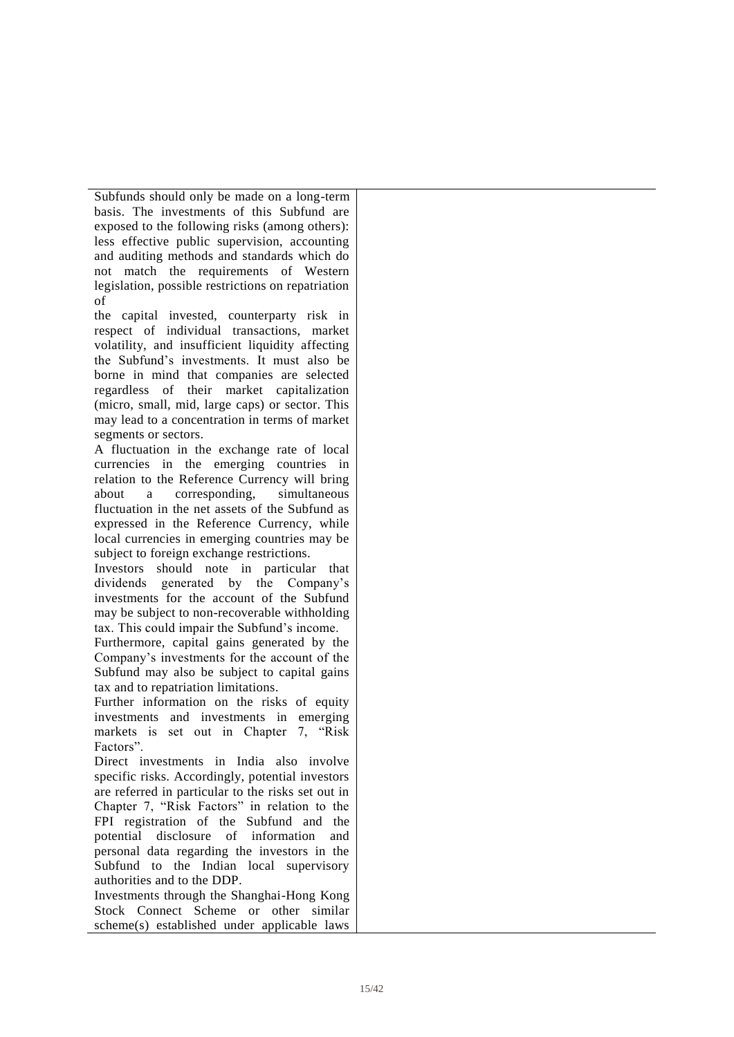Subfunds should only be made on a long-term basis. The investments of this Subfund are exposed to the following risks (among others): less effective public supervision, accounting and auditing methods and standards which do not match the requirements of Western legislation, possible restrictions on repatriation of

 the capital invested, counterparty risk in respect of individual transactions, market volatility, and insufficient liquidity affecting the Subfund's investments. It must also be borne in mind that companies are selected regardless of their market capitalization (micro, small, mid, large caps) or sector. This may lead to a concentration in terms of market segments or sectors.

 A fluctuation in the exchange rate of local currencies in the emerging countries in relation to the Reference Currency will bring about fluctuation in the net assets of the Subfund as expressed in the Reference Currency, while local currencies in emerging countries may be subject to foreign exchange restrictions. a corresponding, simultaneous

 Investors should note in particular that dividends generated by the Company's investments for the account of the Subfund may be subject to non-recoverable withholding tax. This could impair the Subfund's income.

 Furthermore, capital gains generated by the Company's investments for the account of the Subfund may also be subject to capital gains tax and to repatriation limitations.

 Further information on the risks of equity investments and investments in emerging markets is set out in Chapter 7, "Risk Factors".

 Direct investments in India also involve specific risks. Accordingly, potential investors are referred in particular to the risks set out in Chapter 7, "Risk Factors" in relation to the FPI registration of the Subfund and the potential disclosure of information and personal data regarding the investors in the Subfund to the Indian local supervisory authorities and to the DDP.

 Investments through the Shanghai-Hong Kong Stock Connect Scheme or other similar scheme(s) established under applicable laws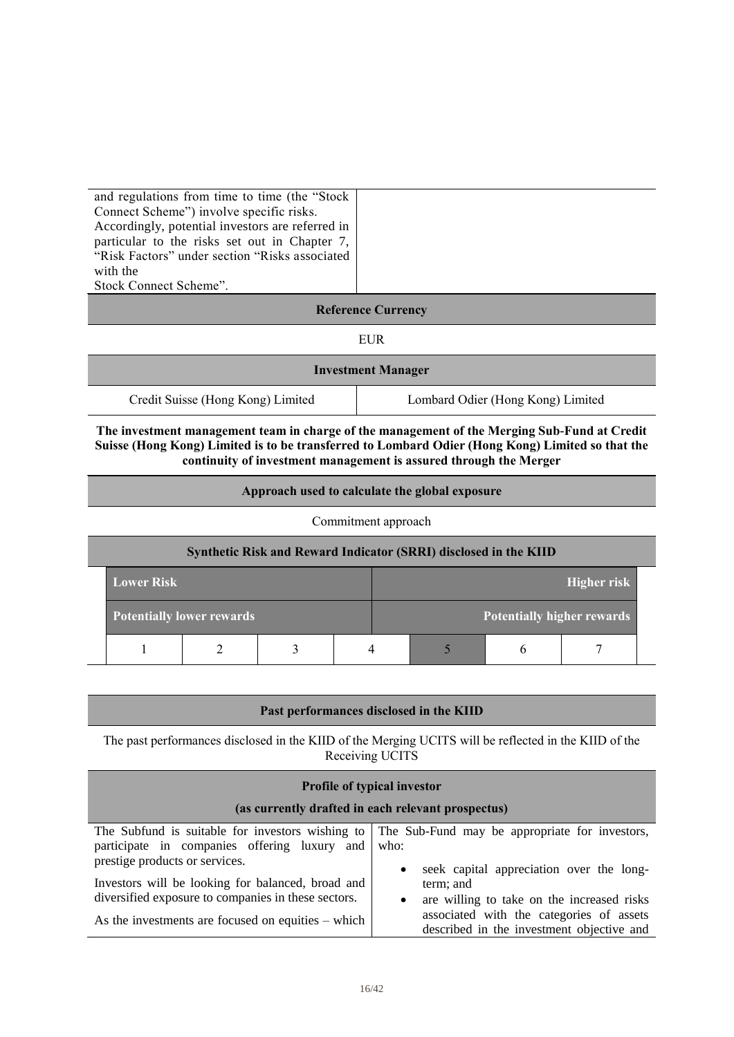and regulations from time to time (the "Stock Connect Scheme") involve specific risks. Accordingly, potential investors are referred in particular to the risks set out in Chapter 7, "Risk Factors" under section "Risks associated Stock Connect Scheme". with the

### **Reference Currency**

EUR

| <b>Investment Manager</b>         |                                   |  |  |  |
|-----------------------------------|-----------------------------------|--|--|--|
| Credit Suisse (Hong Kong) Limited | Lombard Odier (Hong Kong) Limited |  |  |  |

 **The investment management team in charge of the management of the Merging Sub-Fund at Credit Suisse (Hong Kong) Limited is to be transferred to Lombard Odier (Hong Kong) Limited so that the continuity of investment management is assured through the Merger**

#### **Approach used to calculate the global exposure**

#### Commitment approach

| Synthetic Risk and Reward Indicator (SRRI) disclosed in the KIID |  |  |  |                                   |  |             |  |
|------------------------------------------------------------------|--|--|--|-----------------------------------|--|-------------|--|
| <b>Lower Risk</b>                                                |  |  |  |                                   |  | Higher risk |  |
| <b>Potentially lower rewards</b>                                 |  |  |  | <b>Potentially higher rewards</b> |  |             |  |
|                                                                  |  |  |  |                                   |  |             |  |

#### **Past performances disclosed in the KIID**

The past performances disclosed in the KIID of the Merging UCITS will be reflected in the KIID of the Receiving UCITS

| <b>Profile of typical investor</b>                                                                                                 |                                                                                                                               |  |  |  |
|------------------------------------------------------------------------------------------------------------------------------------|-------------------------------------------------------------------------------------------------------------------------------|--|--|--|
| (as currently drafted in each relevant prospectus)                                                                                 |                                                                                                                               |  |  |  |
| The Subfund is suitable for investors wishing to<br>participate in companies offering luxury and<br>prestige products or services. | The Sub-Fund may be appropriate for investors,<br>who:                                                                        |  |  |  |
| Investors will be looking for balanced, broad and<br>diversified exposure to companies in these sectors.                           | seek capital appreciation over the long-<br>$\bullet$<br>term; and<br>are willing to take on the increased risks<br>$\bullet$ |  |  |  |
| As the investments are focused on equities – which                                                                                 | associated with the categories of assets<br>described in the investment objective and                                         |  |  |  |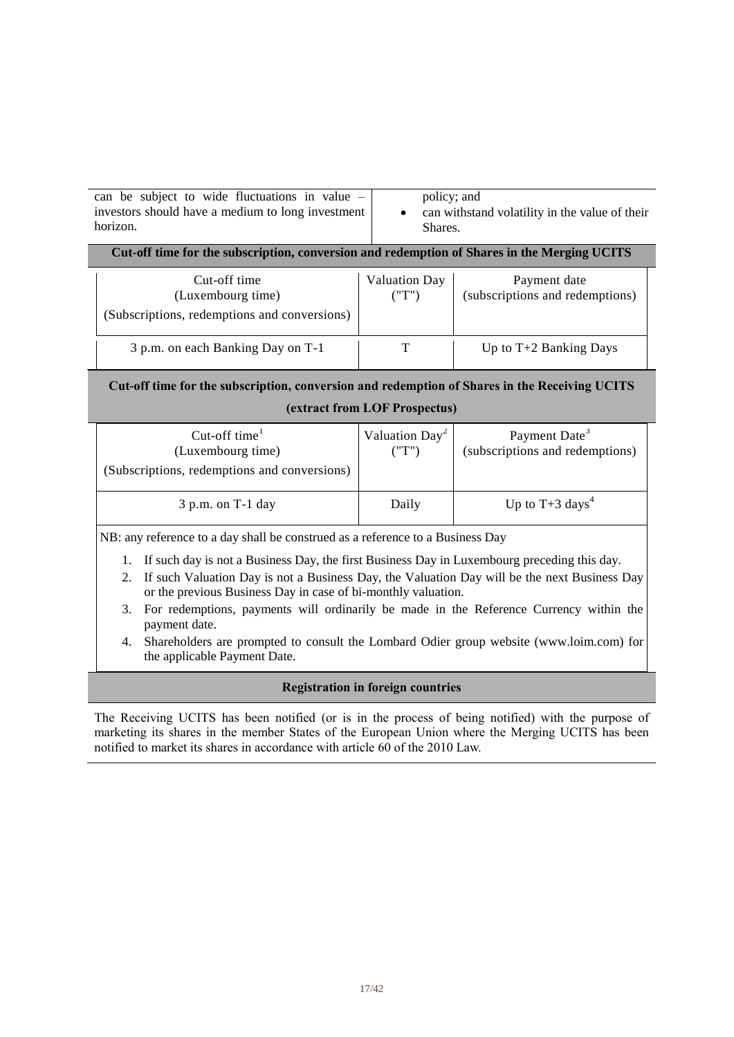| can be subject to wide fluctuations in value $-$  | policy; and                                    |
|---------------------------------------------------|------------------------------------------------|
| investors should have a medium to long investment | can withstand volatility in the value of their |
| horizon.                                          | Shares.                                        |

#### **Cut-off time for the subscription, conversion and redemption of Shares in the Merging UCITS**

| Cut-off time<br>(Luxembourg time)<br>(Subscriptions, redemptions and conversions) | <b>Valuation Day</b> | Payment date<br>(subscriptions and redemptions) |
|-----------------------------------------------------------------------------------|----------------------|-------------------------------------------------|
| 3 p.m. on each Banking Day on T-1                                                 |                      | Up to $T+2$ Banking Days                        |

# **(extract from LOF Prospectus) Cut-off time for the subscription, conversion and redemption of Shares in the Receiving UCITS**

| Cut-off time $1$<br>(Luxembourg time)<br>(Subscriptions, redemptions and conversions) | Valuation $Day^2$<br>("T") | Payment Date <sup>3</sup><br>(subscriptions and redemptions) |
|---------------------------------------------------------------------------------------|----------------------------|--------------------------------------------------------------|
| $3$ p.m. on T-1 day                                                                   | Daily                      | Up to $T+3$ days <sup>4</sup>                                |

NB: any reference to a day shall be construed as a reference to a Business Day

- 1. If such day is not a Business Day, the first Business Day in Luxembourg preceding this day.
- 2. If such Valuation Day is not a Business Day, the Valuation Day will be the next Business Day or the previous Business Day in case of bi-monthly valuation.
- 3. For redemptions, payments will ordinarily be made in the Reference Currency within the payment date.
- 4. Shareholders are prompted to consult the Lombard Odier group website (www.loim.com) for the applicable Payment Date.

### **Registration in foreign countries**

 The Receiving UCITS has been notified (or is in the process of being notified) with the purpose of marketing its shares in the member States of the European Union where the Merging UCITS has been notified to market its shares in accordance with article 60 of the 2010 Law.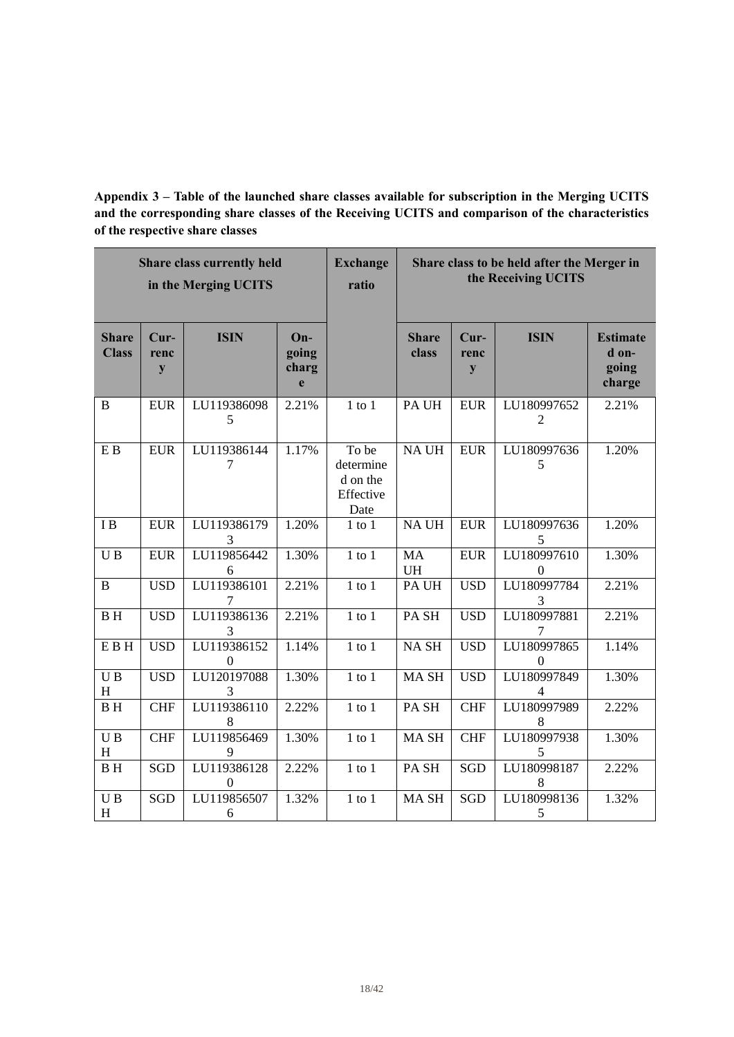**Appendix 3 – Table of the launched share classes available for subscription in the Merging UCITS and the corresponding share classes of the Receiving UCITS and comparison of the characteristics of the respective share classes**

|                              |                     | <b>Share class currently held</b><br>in the Merging UCITS |                            | <b>Exchange</b><br>ratio                            |                        |                             | Share class to be held after the Merger in<br>the Receiving UCITS |                                             |
|------------------------------|---------------------|-----------------------------------------------------------|----------------------------|-----------------------------------------------------|------------------------|-----------------------------|-------------------------------------------------------------------|---------------------------------------------|
| <b>Share</b><br><b>Class</b> | $Cur-$<br>renc<br>y | <b>ISIN</b>                                               | On-<br>going<br>charg<br>e |                                                     | <b>Share</b><br>class  | $Cur-$<br>renc<br>${\bf y}$ | <b>ISIN</b>                                                       | <b>Estimate</b><br>d on-<br>going<br>charge |
| B                            | <b>EUR</b>          | LU119386098<br>5                                          | 2.21%                      | $1$ to $1$                                          | PA UH                  | <b>EUR</b>                  | LU180997652<br>$\overline{2}$                                     | 2.21%                                       |
| E B                          | <b>EUR</b>          | LU119386144<br>7                                          | 1.17%                      | To be<br>determine<br>d on the<br>Effective<br>Date | NA UH                  | <b>EUR</b>                  | LU180997636<br>5                                                  | 1.20%                                       |
| IB                           | <b>EUR</b>          | LU119386179<br>3                                          | 1.20%                      | $1$ to $1$                                          | NA UH                  | <b>EUR</b>                  | LU180997636<br>5                                                  | 1.20%                                       |
| UB                           | <b>EUR</b>          | LU119856442<br>6                                          | 1.30%                      | $1$ to $1$                                          | <b>MA</b><br><b>UH</b> | <b>EUR</b>                  | LU180997610<br>$\boldsymbol{0}$                                   | 1.30%                                       |
| B                            | <b>USD</b>          | LU119386101<br>7                                          | 2.21%                      | $1$ to $1$                                          | PA UH                  | <b>USD</b>                  | LU180997784<br>3                                                  | 2.21%                                       |
| <b>BH</b>                    | <b>USD</b>          | LU119386136<br>3                                          | 2.21%                      | $1$ to $1$                                          | PA <sub>SH</sub>       | <b>USD</b>                  | LU180997881<br>7                                                  | 2.21%                                       |
| E B H                        | <b>USD</b>          | LU119386152<br>$\boldsymbol{0}$                           | 1.14%                      | $1$ to $1$                                          | NA <sub>SH</sub>       | <b>USD</b>                  | LU180997865<br>$\boldsymbol{0}$                                   | 1.14%                                       |
| $\overline{UB}$<br>H         | <b>USD</b>          | LU120197088<br>3                                          | 1.30%                      | $1$ to $1$                                          | <b>MASH</b>            | <b>USD</b>                  | LU180997849<br>4                                                  | 1.30%                                       |
| <b>BH</b>                    | <b>CHF</b>          | LU119386110<br>8                                          | 2.22%                      | $1$ to $1$                                          | PA <sub>SH</sub>       | <b>CHF</b>                  | LU180997989<br>8                                                  | 2.22%                                       |
| U <sub>B</sub><br>H          | <b>CHF</b>          | LU119856469<br>9                                          | 1.30%                      | $1$ to $1$                                          | MA <sub>SH</sub>       | <b>CHF</b>                  | LU180997938<br>5                                                  | 1.30%                                       |
| <b>BH</b>                    | SGD                 | LU119386128<br>$\theta$                                   | 2.22%                      | $1$ to $1$                                          | PA <sub>SH</sub>       | <b>SGD</b>                  | LU180998187<br>8                                                  | 2.22%                                       |
| UB<br>H                      | <b>SGD</b>          | LU119856507<br>6                                          | 1.32%                      | $1$ to $1$                                          | MA SH                  | <b>SGD</b>                  | LU180998136<br>$\mathfrak s$                                      | 1.32%                                       |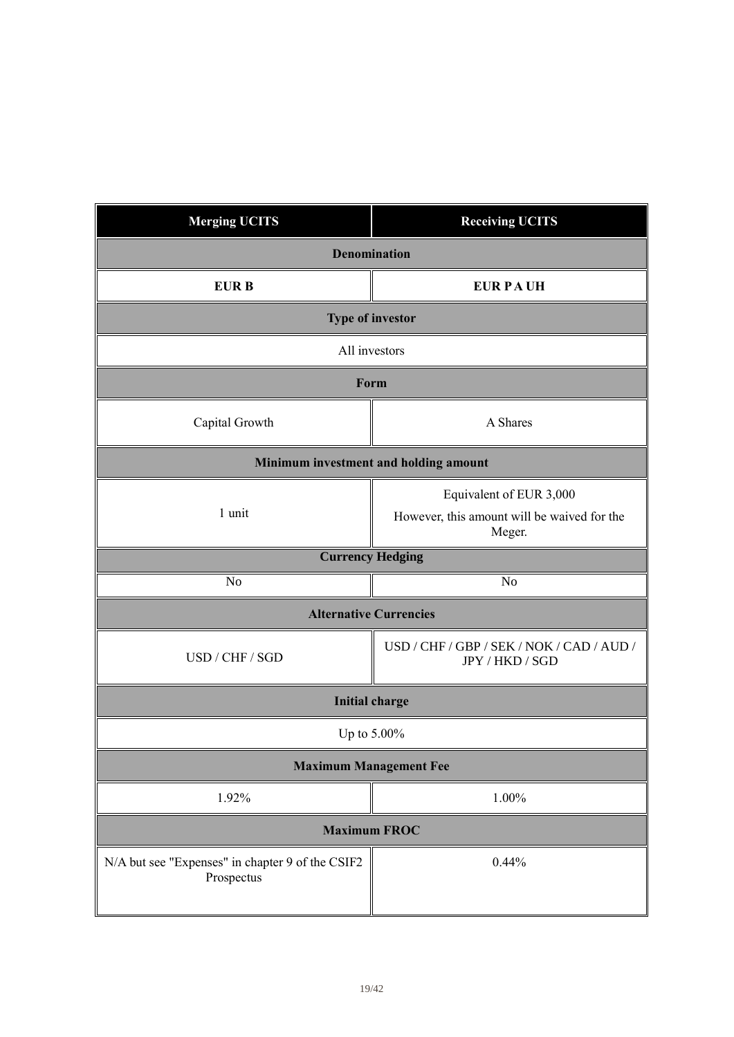| <b>Merging UCITS</b>                                           | <b>Receiving UCITS</b>                                       |  |  |
|----------------------------------------------------------------|--------------------------------------------------------------|--|--|
| <b>Denomination</b>                                            |                                                              |  |  |
| <b>EURB</b>                                                    | <b>EUR PAUH</b>                                              |  |  |
|                                                                | <b>Type of investor</b>                                      |  |  |
| All investors                                                  |                                                              |  |  |
| Form                                                           |                                                              |  |  |
| Capital Growth                                                 | A Shares                                                     |  |  |
| Minimum investment and holding amount                          |                                                              |  |  |
|                                                                | Equivalent of EUR 3,000                                      |  |  |
| 1 unit                                                         | However, this amount will be waived for the<br>Meger.        |  |  |
|                                                                | <b>Currency Hedging</b>                                      |  |  |
| N <sub>o</sub>                                                 | N <sub>o</sub>                                               |  |  |
|                                                                | <b>Alternative Currencies</b>                                |  |  |
| USD / CHF / SGD                                                | USD / CHF / GBP / SEK / NOK / CAD / AUD /<br>JPY / HKD / SGD |  |  |
|                                                                | <b>Initial charge</b>                                        |  |  |
| Up to 5.00%                                                    |                                                              |  |  |
| <b>Maximum Management Fee</b>                                  |                                                              |  |  |
| 1.92%                                                          | 1.00%                                                        |  |  |
| <b>Maximum FROC</b>                                            |                                                              |  |  |
| N/A but see "Expenses" in chapter 9 of the CSIF2<br>Prospectus | 0.44%                                                        |  |  |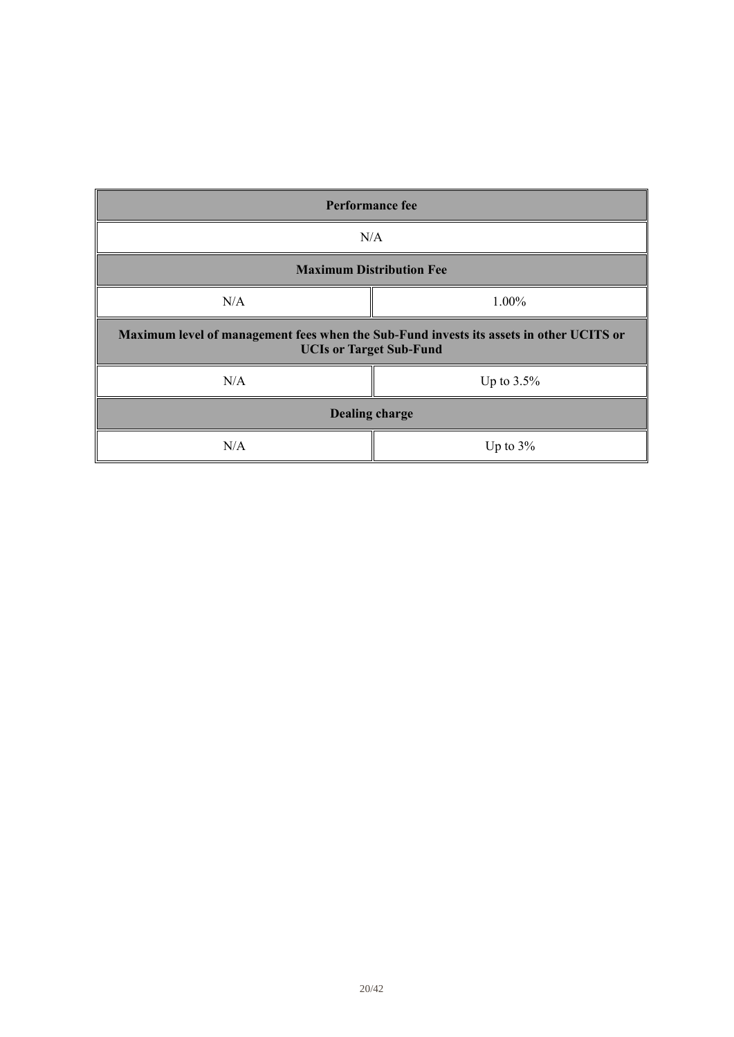| <b>Performance fee</b>                                                                                                    |               |  |
|---------------------------------------------------------------------------------------------------------------------------|---------------|--|
| N/A                                                                                                                       |               |  |
| <b>Maximum Distribution Fee</b>                                                                                           |               |  |
| N/A                                                                                                                       | 1.00%         |  |
| Maximum level of management fees when the Sub-Fund invests its assets in other UCITS or<br><b>UCIs or Target Sub-Fund</b> |               |  |
| N/A                                                                                                                       | Up to $3.5\%$ |  |
| <b>Dealing charge</b>                                                                                                     |               |  |
| N/A                                                                                                                       | Up to $3\%$   |  |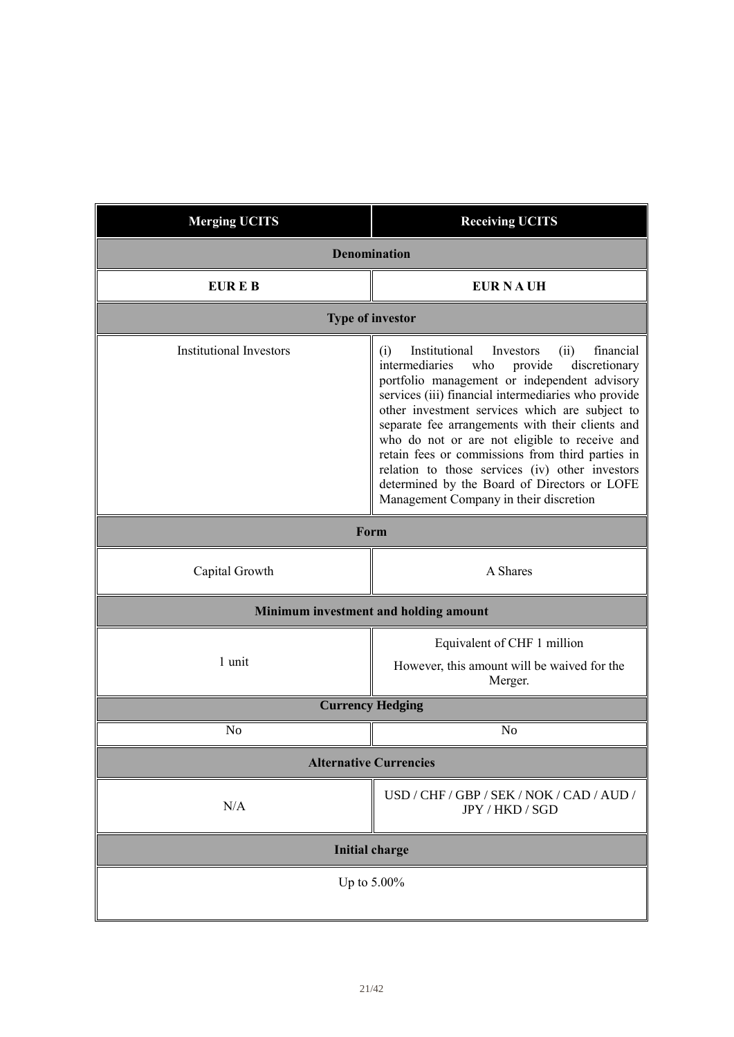| <b>Merging UCITS</b>           | <b>Receiving UCITS</b>                                                                                                                                                                                                                                                                                                                                                                                                                                                                                                                                                     |  |
|--------------------------------|----------------------------------------------------------------------------------------------------------------------------------------------------------------------------------------------------------------------------------------------------------------------------------------------------------------------------------------------------------------------------------------------------------------------------------------------------------------------------------------------------------------------------------------------------------------------------|--|
| <b>Denomination</b>            |                                                                                                                                                                                                                                                                                                                                                                                                                                                                                                                                                                            |  |
| EUR E B<br><b>EUR NAUH</b>     |                                                                                                                                                                                                                                                                                                                                                                                                                                                                                                                                                                            |  |
|                                | <b>Type of investor</b>                                                                                                                                                                                                                                                                                                                                                                                                                                                                                                                                                    |  |
| <b>Institutional Investors</b> | Institutional<br>financial<br>Investors<br>(ii)<br>(i)<br>intermediaries<br>who<br>provide<br>discretionary<br>portfolio management or independent advisory<br>services (iii) financial intermediaries who provide<br>other investment services which are subject to<br>separate fee arrangements with their clients and<br>who do not or are not eligible to receive and<br>retain fees or commissions from third parties in<br>relation to those services (iv) other investors<br>determined by the Board of Directors or LOFE<br>Management Company in their discretion |  |
| Form                           |                                                                                                                                                                                                                                                                                                                                                                                                                                                                                                                                                                            |  |
| Capital Growth                 | A Shares                                                                                                                                                                                                                                                                                                                                                                                                                                                                                                                                                                   |  |
|                                | Minimum investment and holding amount                                                                                                                                                                                                                                                                                                                                                                                                                                                                                                                                      |  |
| 1 unit                         | Equivalent of CHF 1 million<br>However, this amount will be waived for the<br>Merger.                                                                                                                                                                                                                                                                                                                                                                                                                                                                                      |  |
|                                | <b>Currency Hedging</b>                                                                                                                                                                                                                                                                                                                                                                                                                                                                                                                                                    |  |
| No                             | No                                                                                                                                                                                                                                                                                                                                                                                                                                                                                                                                                                         |  |
| <b>Alternative Currencies</b>  |                                                                                                                                                                                                                                                                                                                                                                                                                                                                                                                                                                            |  |
| N/A                            | USD / CHF / GBP / SEK / NOK / CAD / AUD /<br>JPY / HKD / SGD                                                                                                                                                                                                                                                                                                                                                                                                                                                                                                               |  |
| <b>Initial charge</b>          |                                                                                                                                                                                                                                                                                                                                                                                                                                                                                                                                                                            |  |
| Up to 5.00%                    |                                                                                                                                                                                                                                                                                                                                                                                                                                                                                                                                                                            |  |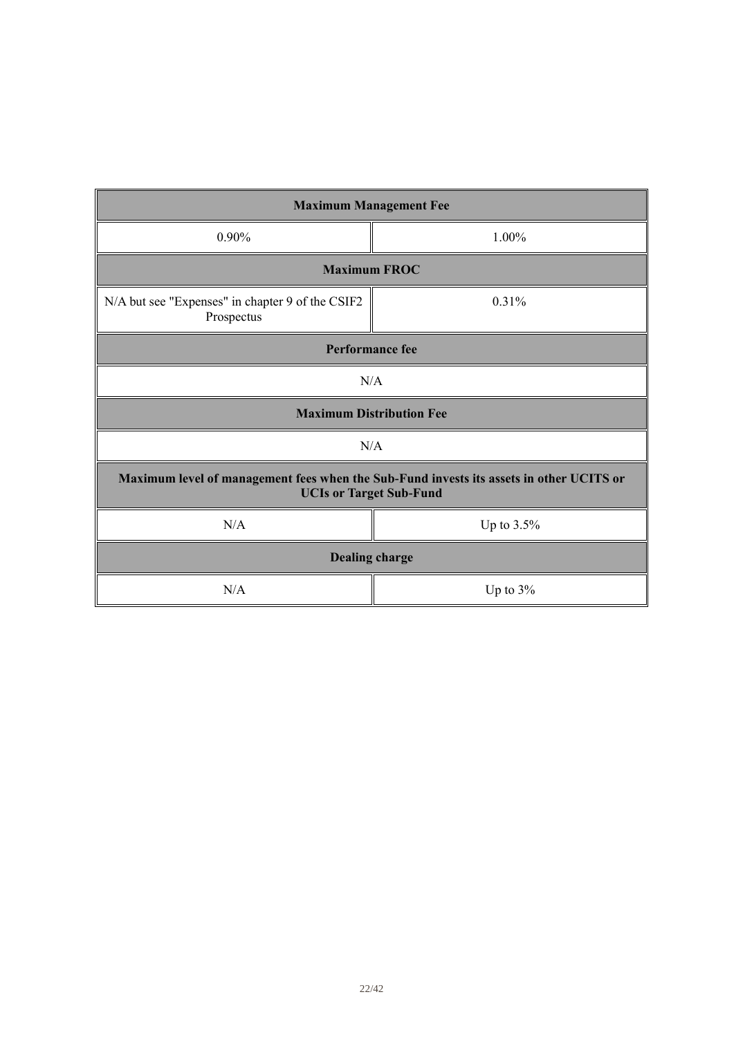| <b>Maximum Management Fee</b>                                                                                             |                     |  |  |  |
|---------------------------------------------------------------------------------------------------------------------------|---------------------|--|--|--|
| 0.90%                                                                                                                     | $1.00\%$            |  |  |  |
|                                                                                                                           | <b>Maximum FROC</b> |  |  |  |
| N/A but see "Expenses" in chapter 9 of the CSIF2<br>Prospectus                                                            | 0.31%               |  |  |  |
| <b>Performance fee</b>                                                                                                    |                     |  |  |  |
| N/A                                                                                                                       |                     |  |  |  |
| <b>Maximum Distribution Fee</b>                                                                                           |                     |  |  |  |
| N/A                                                                                                                       |                     |  |  |  |
| Maximum level of management fees when the Sub-Fund invests its assets in other UCITS or<br><b>UCIs or Target Sub-Fund</b> |                     |  |  |  |
| N/A<br>Up to 3.5%                                                                                                         |                     |  |  |  |
| <b>Dealing charge</b>                                                                                                     |                     |  |  |  |
| N/A<br>Up to $3\%$                                                                                                        |                     |  |  |  |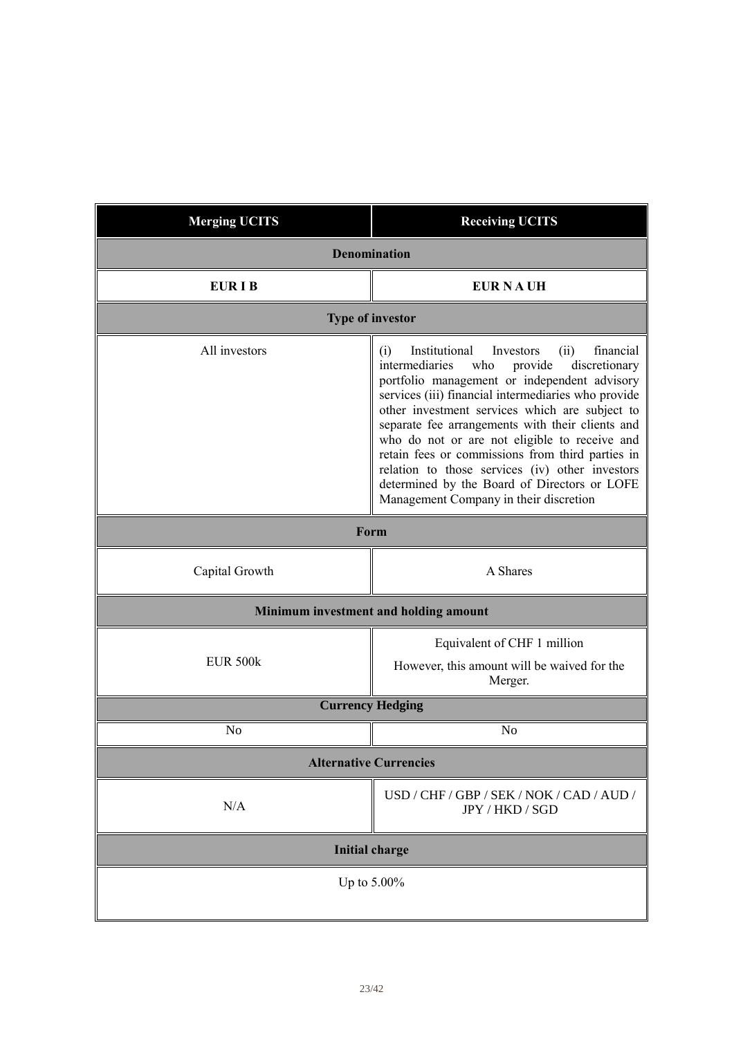| <b>Merging UCITS</b>          | <b>Receiving UCITS</b>                                                                                                                                                                                                                                                                                                                                                                                                                                                                                                                                                     |  |
|-------------------------------|----------------------------------------------------------------------------------------------------------------------------------------------------------------------------------------------------------------------------------------------------------------------------------------------------------------------------------------------------------------------------------------------------------------------------------------------------------------------------------------------------------------------------------------------------------------------------|--|
| <b>Denomination</b>           |                                                                                                                                                                                                                                                                                                                                                                                                                                                                                                                                                                            |  |
| <b>EURIB</b>                  | <b>EUR NAUH</b>                                                                                                                                                                                                                                                                                                                                                                                                                                                                                                                                                            |  |
|                               | <b>Type of investor</b>                                                                                                                                                                                                                                                                                                                                                                                                                                                                                                                                                    |  |
| All investors                 | Institutional<br>financial<br>Investors<br>(ii)<br>(i)<br>intermediaries<br>who<br>provide<br>discretionary<br>portfolio management or independent advisory<br>services (iii) financial intermediaries who provide<br>other investment services which are subject to<br>separate fee arrangements with their clients and<br>who do not or are not eligible to receive and<br>retain fees or commissions from third parties in<br>relation to those services (iv) other investors<br>determined by the Board of Directors or LOFE<br>Management Company in their discretion |  |
| Form                          |                                                                                                                                                                                                                                                                                                                                                                                                                                                                                                                                                                            |  |
| Capital Growth                | A Shares                                                                                                                                                                                                                                                                                                                                                                                                                                                                                                                                                                   |  |
|                               | Minimum investment and holding amount                                                                                                                                                                                                                                                                                                                                                                                                                                                                                                                                      |  |
| <b>EUR 500k</b>               | Equivalent of CHF 1 million<br>However, this amount will be waived for the<br>Merger.                                                                                                                                                                                                                                                                                                                                                                                                                                                                                      |  |
|                               | <b>Currency Hedging</b>                                                                                                                                                                                                                                                                                                                                                                                                                                                                                                                                                    |  |
| N <sub>o</sub>                | N <sub>o</sub>                                                                                                                                                                                                                                                                                                                                                                                                                                                                                                                                                             |  |
| <b>Alternative Currencies</b> |                                                                                                                                                                                                                                                                                                                                                                                                                                                                                                                                                                            |  |
| N/A                           | USD / CHF / GBP / SEK / NOK / CAD / AUD /<br>JPY / HKD / SGD                                                                                                                                                                                                                                                                                                                                                                                                                                                                                                               |  |
| <b>Initial charge</b>         |                                                                                                                                                                                                                                                                                                                                                                                                                                                                                                                                                                            |  |
| Up to $5.00\%$                |                                                                                                                                                                                                                                                                                                                                                                                                                                                                                                                                                                            |  |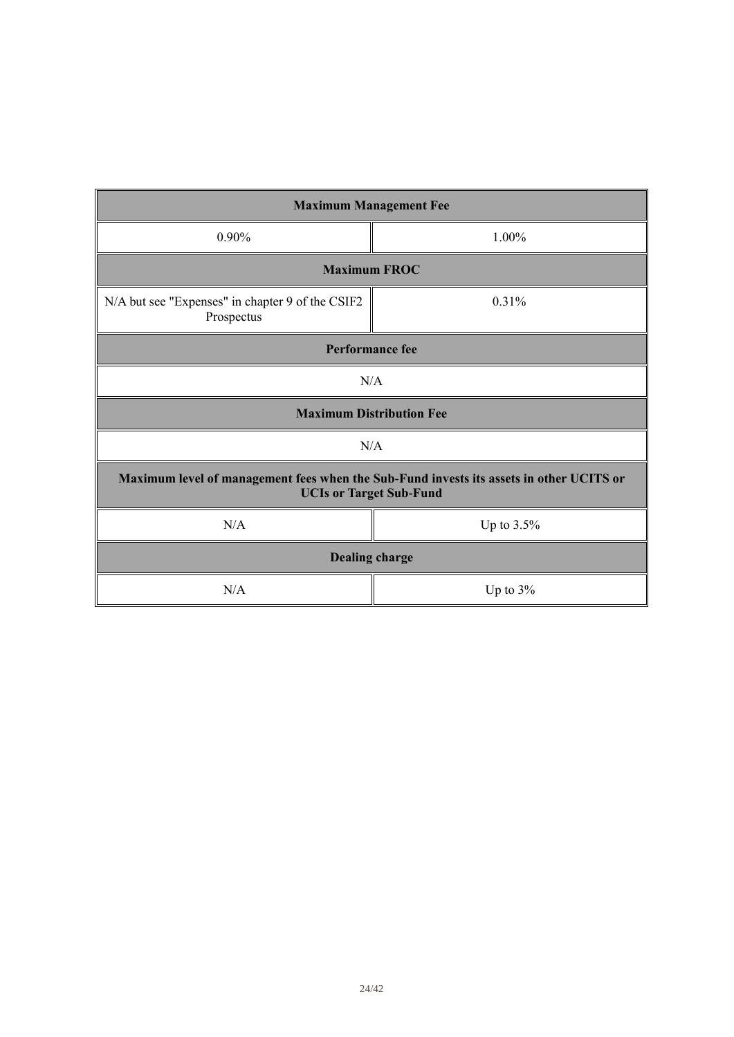| <b>Maximum Management Fee</b>                                                                                             |          |  |
|---------------------------------------------------------------------------------------------------------------------------|----------|--|
| 0.90%                                                                                                                     | $1.00\%$ |  |
| <b>Maximum FROC</b>                                                                                                       |          |  |
| N/A but see "Expenses" in chapter 9 of the CSIF2<br>Prospectus                                                            | 0.31%    |  |
| <b>Performance fee</b>                                                                                                    |          |  |
| N/A                                                                                                                       |          |  |
| <b>Maximum Distribution Fee</b>                                                                                           |          |  |
| N/A                                                                                                                       |          |  |
| Maximum level of management fees when the Sub-Fund invests its assets in other UCITS or<br><b>UCIs or Target Sub-Fund</b> |          |  |
| N/A<br>Up to 3.5%                                                                                                         |          |  |
| <b>Dealing charge</b>                                                                                                     |          |  |
| N/A<br>Up to $3\%$                                                                                                        |          |  |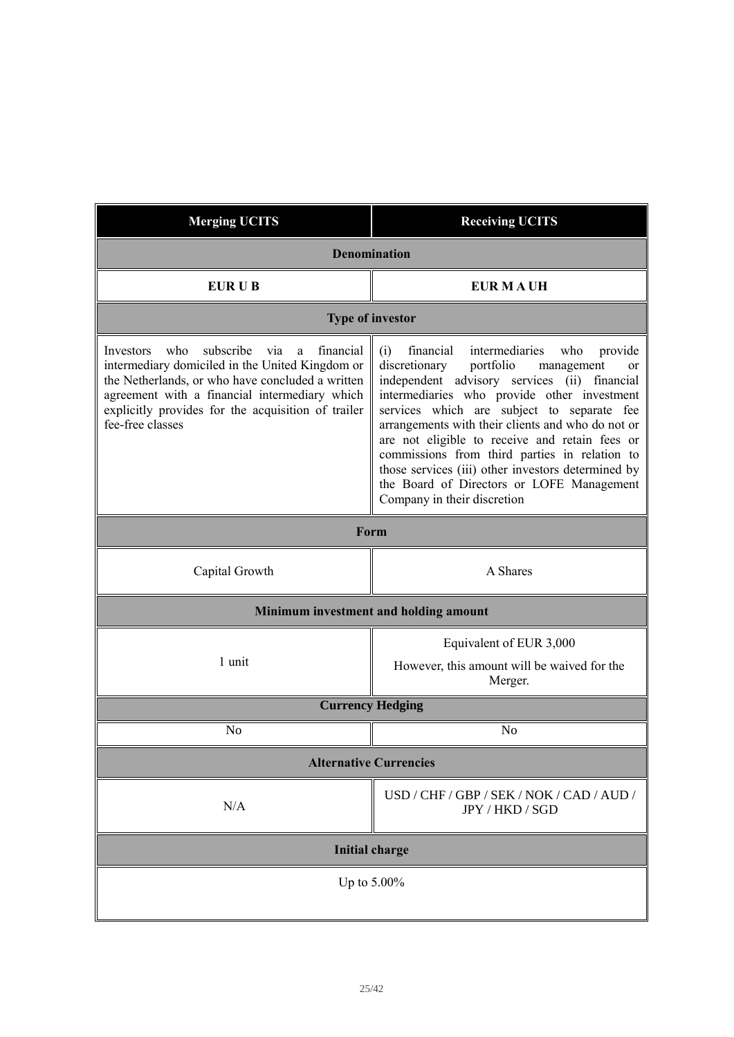| <b>Merging UCITS</b>                                                                                                                                                                                                                                                                     | <b>Receiving UCITS</b>                                                                                                                                                                                                                                                                                                                                                                                                                                                                                                                        |  |  |
|------------------------------------------------------------------------------------------------------------------------------------------------------------------------------------------------------------------------------------------------------------------------------------------|-----------------------------------------------------------------------------------------------------------------------------------------------------------------------------------------------------------------------------------------------------------------------------------------------------------------------------------------------------------------------------------------------------------------------------------------------------------------------------------------------------------------------------------------------|--|--|
| <b>Denomination</b>                                                                                                                                                                                                                                                                      |                                                                                                                                                                                                                                                                                                                                                                                                                                                                                                                                               |  |  |
| EUR U B                                                                                                                                                                                                                                                                                  | <b>EUR MAUH</b>                                                                                                                                                                                                                                                                                                                                                                                                                                                                                                                               |  |  |
| <b>Type of investor</b>                                                                                                                                                                                                                                                                  |                                                                                                                                                                                                                                                                                                                                                                                                                                                                                                                                               |  |  |
| subscribe<br>who<br>financial<br>Investors<br>via<br>a<br>intermediary domiciled in the United Kingdom or<br>the Netherlands, or who have concluded a written<br>agreement with a financial intermediary which<br>explicitly provides for the acquisition of trailer<br>fee-free classes | intermediaries<br>financial<br>who<br>provide<br>(i)<br>portfolio<br>discretionary<br>management<br>or<br>independent advisory services (ii) financial<br>intermediaries who provide other investment<br>services which are subject to separate fee<br>arrangements with their clients and who do not or<br>are not eligible to receive and retain fees or<br>commissions from third parties in relation to<br>those services (iii) other investors determined by<br>the Board of Directors or LOFE Management<br>Company in their discretion |  |  |
| Form                                                                                                                                                                                                                                                                                     |                                                                                                                                                                                                                                                                                                                                                                                                                                                                                                                                               |  |  |
| Capital Growth                                                                                                                                                                                                                                                                           | A Shares                                                                                                                                                                                                                                                                                                                                                                                                                                                                                                                                      |  |  |
|                                                                                                                                                                                                                                                                                          | Minimum investment and holding amount                                                                                                                                                                                                                                                                                                                                                                                                                                                                                                         |  |  |
| 1 unit                                                                                                                                                                                                                                                                                   | Equivalent of EUR 3,000<br>However, this amount will be waived for the<br>Merger.                                                                                                                                                                                                                                                                                                                                                                                                                                                             |  |  |
|                                                                                                                                                                                                                                                                                          | <b>Currency Hedging</b>                                                                                                                                                                                                                                                                                                                                                                                                                                                                                                                       |  |  |
| N <sub>o</sub>                                                                                                                                                                                                                                                                           | N <sub>o</sub>                                                                                                                                                                                                                                                                                                                                                                                                                                                                                                                                |  |  |
|                                                                                                                                                                                                                                                                                          | <b>Alternative Currencies</b>                                                                                                                                                                                                                                                                                                                                                                                                                                                                                                                 |  |  |
| N/A                                                                                                                                                                                                                                                                                      | USD / CHF / GBP / SEK / NOK / CAD / AUD /<br>JPY / HKD / SGD                                                                                                                                                                                                                                                                                                                                                                                                                                                                                  |  |  |
| <b>Initial charge</b>                                                                                                                                                                                                                                                                    |                                                                                                                                                                                                                                                                                                                                                                                                                                                                                                                                               |  |  |
| Up to 5.00%                                                                                                                                                                                                                                                                              |                                                                                                                                                                                                                                                                                                                                                                                                                                                                                                                                               |  |  |
|                                                                                                                                                                                                                                                                                          |                                                                                                                                                                                                                                                                                                                                                                                                                                                                                                                                               |  |  |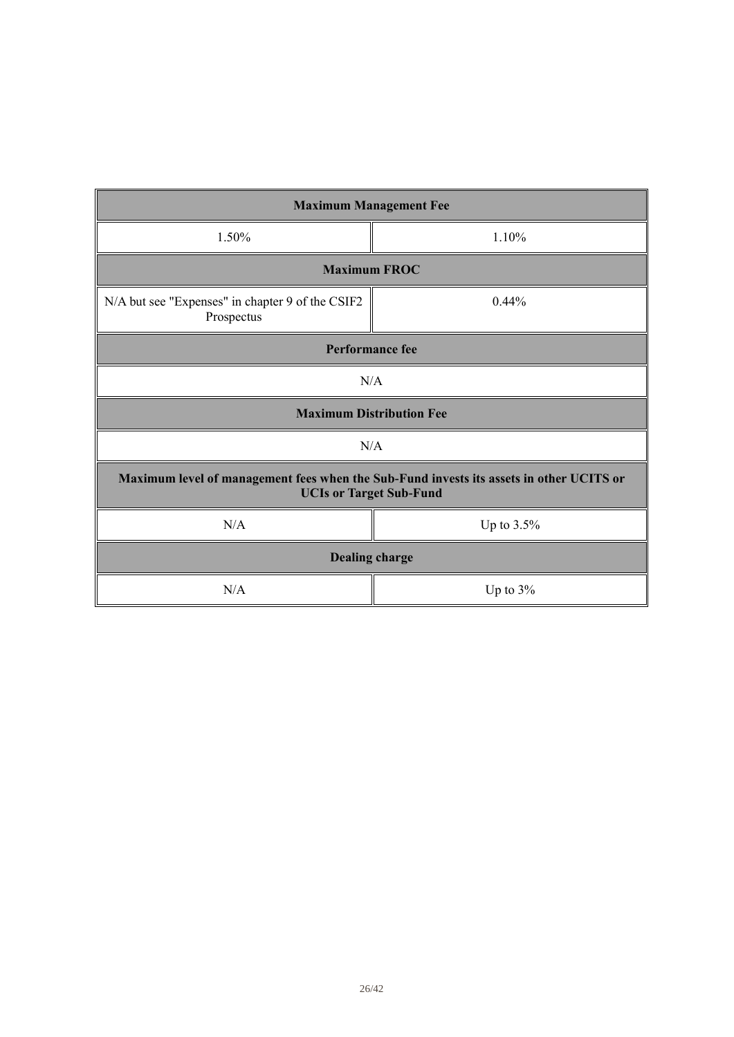| <b>Maximum Management Fee</b>                                                                                             |          |  |
|---------------------------------------------------------------------------------------------------------------------------|----------|--|
| 1.50%                                                                                                                     | 1.10%    |  |
| <b>Maximum FROC</b>                                                                                                       |          |  |
| N/A but see "Expenses" in chapter 9 of the CSIF2<br>Prospectus                                                            | $0.44\%$ |  |
| <b>Performance fee</b>                                                                                                    |          |  |
| N/A                                                                                                                       |          |  |
| <b>Maximum Distribution Fee</b>                                                                                           |          |  |
| N/A                                                                                                                       |          |  |
| Maximum level of management fees when the Sub-Fund invests its assets in other UCITS or<br><b>UCIs or Target Sub-Fund</b> |          |  |
| N/A<br>Up to 3.5%                                                                                                         |          |  |
| <b>Dealing charge</b>                                                                                                     |          |  |
| N/A<br>Up to $3\%$                                                                                                        |          |  |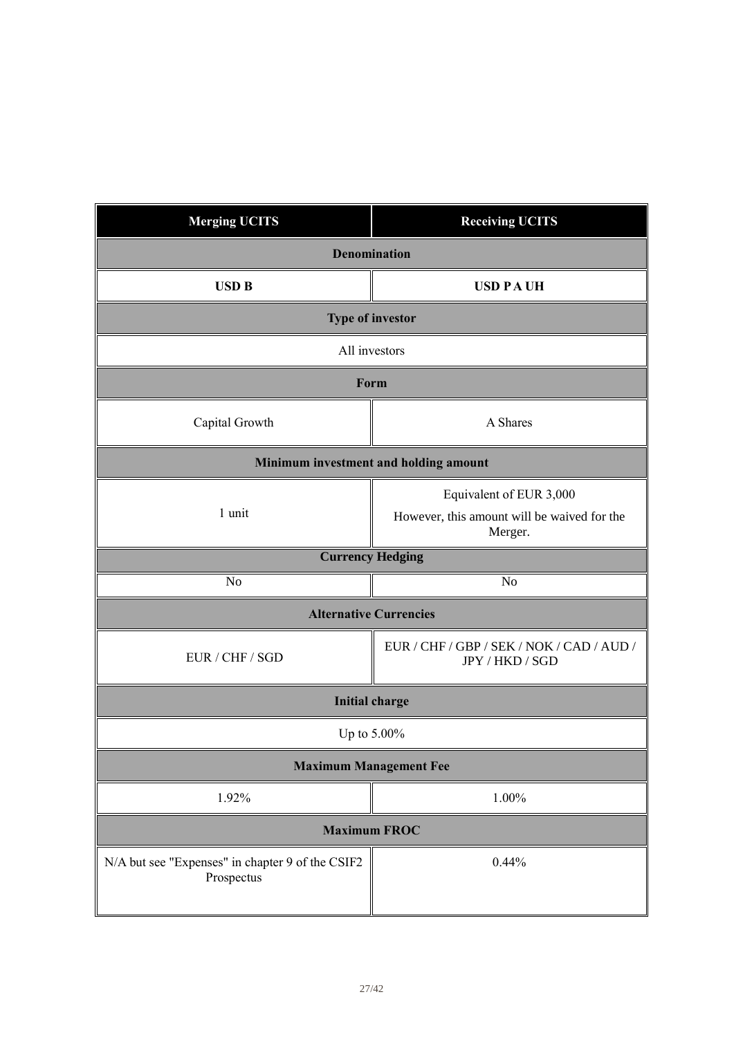| <b>Merging UCITS</b>                                           | <b>Receiving UCITS</b>                                       |  |
|----------------------------------------------------------------|--------------------------------------------------------------|--|
| <b>Denomination</b>                                            |                                                              |  |
| <b>USD B</b><br><b>USD PAUH</b>                                |                                                              |  |
|                                                                | <b>Type of investor</b>                                      |  |
| All investors                                                  |                                                              |  |
| Form                                                           |                                                              |  |
| Capital Growth                                                 | A Shares                                                     |  |
| Minimum investment and holding amount                          |                                                              |  |
|                                                                | Equivalent of EUR 3,000                                      |  |
| 1 unit                                                         | However, this amount will be waived for the<br>Merger.       |  |
|                                                                | <b>Currency Hedging</b>                                      |  |
| N <sub>o</sub>                                                 | N <sub>o</sub>                                               |  |
| <b>Alternative Currencies</b>                                  |                                                              |  |
| EUR / CHF / SGD                                                | EUR / CHF / GBP / SEK / NOK / CAD / AUD /<br>JPY / HKD / SGD |  |
| <b>Initial charge</b>                                          |                                                              |  |
| Up to 5.00%                                                    |                                                              |  |
| <b>Maximum Management Fee</b>                                  |                                                              |  |
| 1.92%                                                          | 1.00%                                                        |  |
| <b>Maximum FROC</b>                                            |                                                              |  |
| N/A but see "Expenses" in chapter 9 of the CSIF2<br>Prospectus | 0.44%                                                        |  |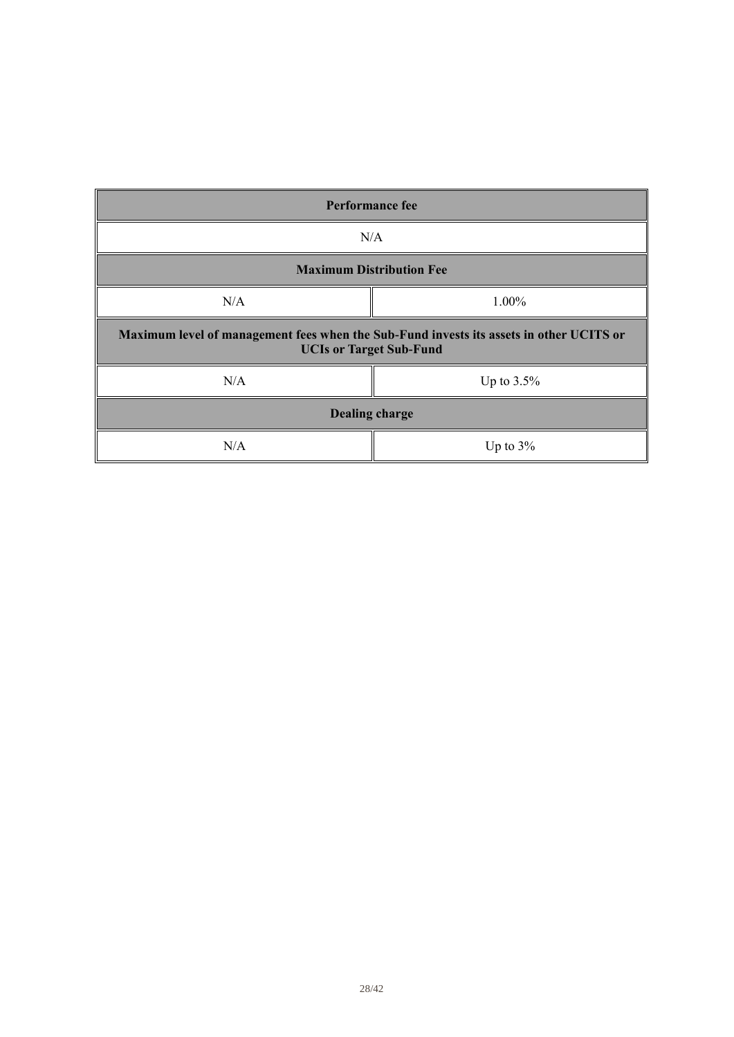| <b>Performance fee</b>                                                                                                    |               |  |
|---------------------------------------------------------------------------------------------------------------------------|---------------|--|
| N/A                                                                                                                       |               |  |
| <b>Maximum Distribution Fee</b>                                                                                           |               |  |
| N/A                                                                                                                       | 1.00%         |  |
| Maximum level of management fees when the Sub-Fund invests its assets in other UCITS or<br><b>UCIs or Target Sub-Fund</b> |               |  |
| N/A                                                                                                                       | Up to $3.5\%$ |  |
| <b>Dealing charge</b>                                                                                                     |               |  |
| N/A                                                                                                                       | Up to $3\%$   |  |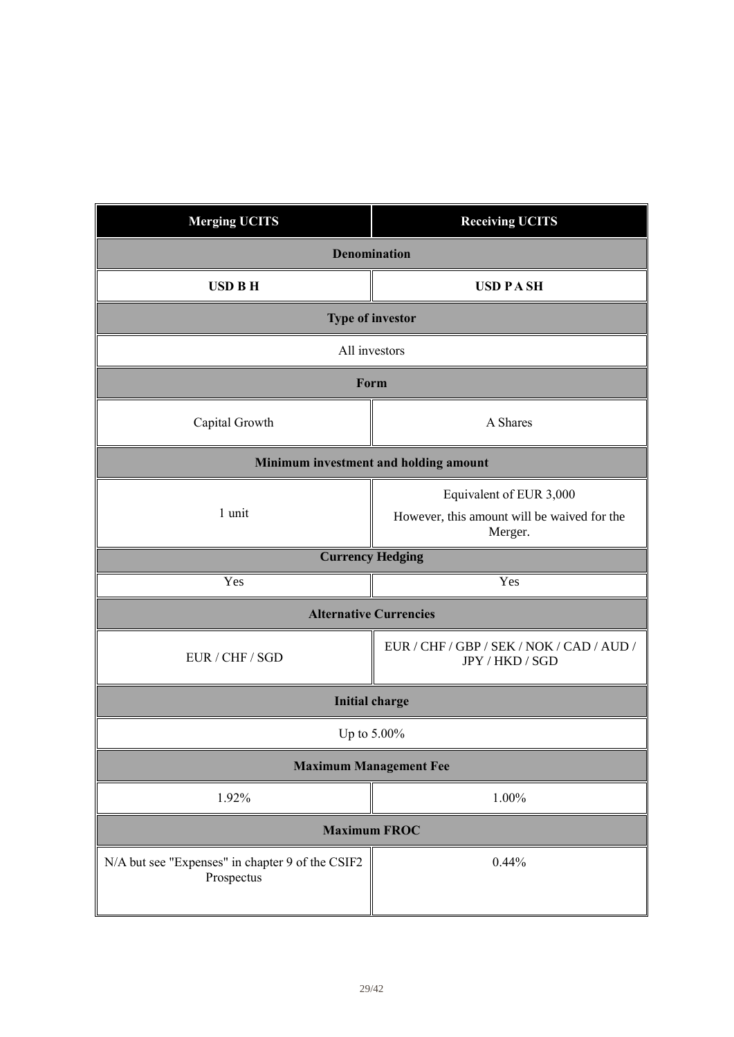| <b>Merging UCITS</b>                                           | <b>Receiving UCITS</b>                                       |  |
|----------------------------------------------------------------|--------------------------------------------------------------|--|
| <b>Denomination</b>                                            |                                                              |  |
| <b>USD B H</b>                                                 | <b>USD PASH</b>                                              |  |
| <b>Type of investor</b>                                        |                                                              |  |
| All investors                                                  |                                                              |  |
| Form                                                           |                                                              |  |
| Capital Growth                                                 | A Shares                                                     |  |
| Minimum investment and holding amount                          |                                                              |  |
| 1 unit                                                         | Equivalent of EUR 3,000                                      |  |
|                                                                | However, this amount will be waived for the<br>Merger.       |  |
| <b>Currency Hedging</b>                                        |                                                              |  |
| Yes                                                            | Yes                                                          |  |
| <b>Alternative Currencies</b>                                  |                                                              |  |
| EUR / CHF / SGD                                                | EUR / CHF / GBP / SEK / NOK / CAD / AUD /<br>JPY / HKD / SGD |  |
| <b>Initial charge</b>                                          |                                                              |  |
| Up to 5.00%                                                    |                                                              |  |
| <b>Maximum Management Fee</b>                                  |                                                              |  |
| 1.92%                                                          | 1.00%                                                        |  |
| <b>Maximum FROC</b>                                            |                                                              |  |
| N/A but see "Expenses" in chapter 9 of the CSIF2<br>Prospectus | 0.44%                                                        |  |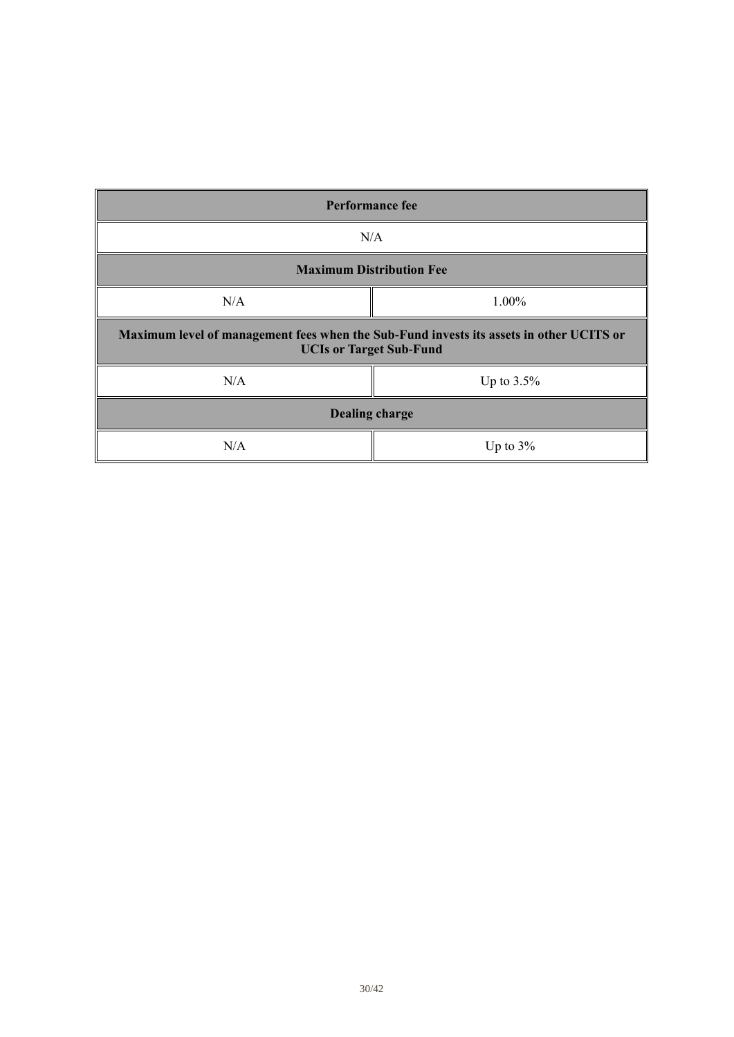| <b>Performance fee</b>                                                                                                    |               |  |
|---------------------------------------------------------------------------------------------------------------------------|---------------|--|
| N/A                                                                                                                       |               |  |
| <b>Maximum Distribution Fee</b>                                                                                           |               |  |
| N/A                                                                                                                       | 1.00%         |  |
| Maximum level of management fees when the Sub-Fund invests its assets in other UCITS or<br><b>UCIs or Target Sub-Fund</b> |               |  |
| N/A                                                                                                                       | Up to $3.5\%$ |  |
| <b>Dealing charge</b>                                                                                                     |               |  |
| N/A                                                                                                                       | Up to $3\%$   |  |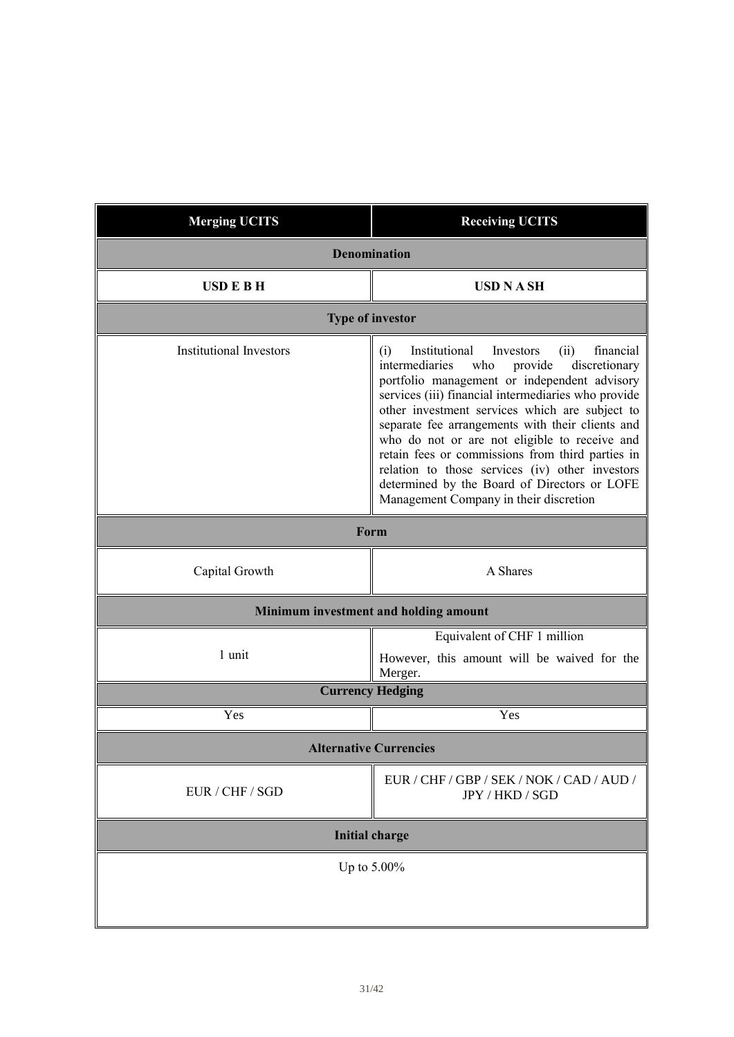| <b>Merging UCITS</b>           | <b>Receiving UCITS</b>                                                                                                                                                                                                                                                                                                                                                                                                                                                                                                                                                     |  |
|--------------------------------|----------------------------------------------------------------------------------------------------------------------------------------------------------------------------------------------------------------------------------------------------------------------------------------------------------------------------------------------------------------------------------------------------------------------------------------------------------------------------------------------------------------------------------------------------------------------------|--|
|                                | <b>Denomination</b>                                                                                                                                                                                                                                                                                                                                                                                                                                                                                                                                                        |  |
| <b>USDEBH</b>                  | <b>USD N A SH</b>                                                                                                                                                                                                                                                                                                                                                                                                                                                                                                                                                          |  |
|                                | <b>Type of investor</b>                                                                                                                                                                                                                                                                                                                                                                                                                                                                                                                                                    |  |
| <b>Institutional Investors</b> | Institutional<br>financial<br>Investors<br>(ii)<br>(i)<br>intermediaries<br>who<br>provide<br>discretionary<br>portfolio management or independent advisory<br>services (iii) financial intermediaries who provide<br>other investment services which are subject to<br>separate fee arrangements with their clients and<br>who do not or are not eligible to receive and<br>retain fees or commissions from third parties in<br>relation to those services (iv) other investors<br>determined by the Board of Directors or LOFE<br>Management Company in their discretion |  |
| Form                           |                                                                                                                                                                                                                                                                                                                                                                                                                                                                                                                                                                            |  |
| Capital Growth                 | A Shares                                                                                                                                                                                                                                                                                                                                                                                                                                                                                                                                                                   |  |
|                                | Minimum investment and holding amount                                                                                                                                                                                                                                                                                                                                                                                                                                                                                                                                      |  |
| 1 unit                         | Equivalent of CHF 1 million<br>However, this amount will be waived for the<br>Merger.                                                                                                                                                                                                                                                                                                                                                                                                                                                                                      |  |
|                                | <b>Currency Hedging</b>                                                                                                                                                                                                                                                                                                                                                                                                                                                                                                                                                    |  |
| Yes                            | Yes                                                                                                                                                                                                                                                                                                                                                                                                                                                                                                                                                                        |  |
| <b>Alternative Currencies</b>  |                                                                                                                                                                                                                                                                                                                                                                                                                                                                                                                                                                            |  |
| EUR / CHF / SGD                | EUR / CHF / GBP / SEK / NOK / CAD / AUD /<br>JPY / HKD / SGD                                                                                                                                                                                                                                                                                                                                                                                                                                                                                                               |  |
| <b>Initial charge</b>          |                                                                                                                                                                                                                                                                                                                                                                                                                                                                                                                                                                            |  |
|                                | Up to 5.00%                                                                                                                                                                                                                                                                                                                                                                                                                                                                                                                                                                |  |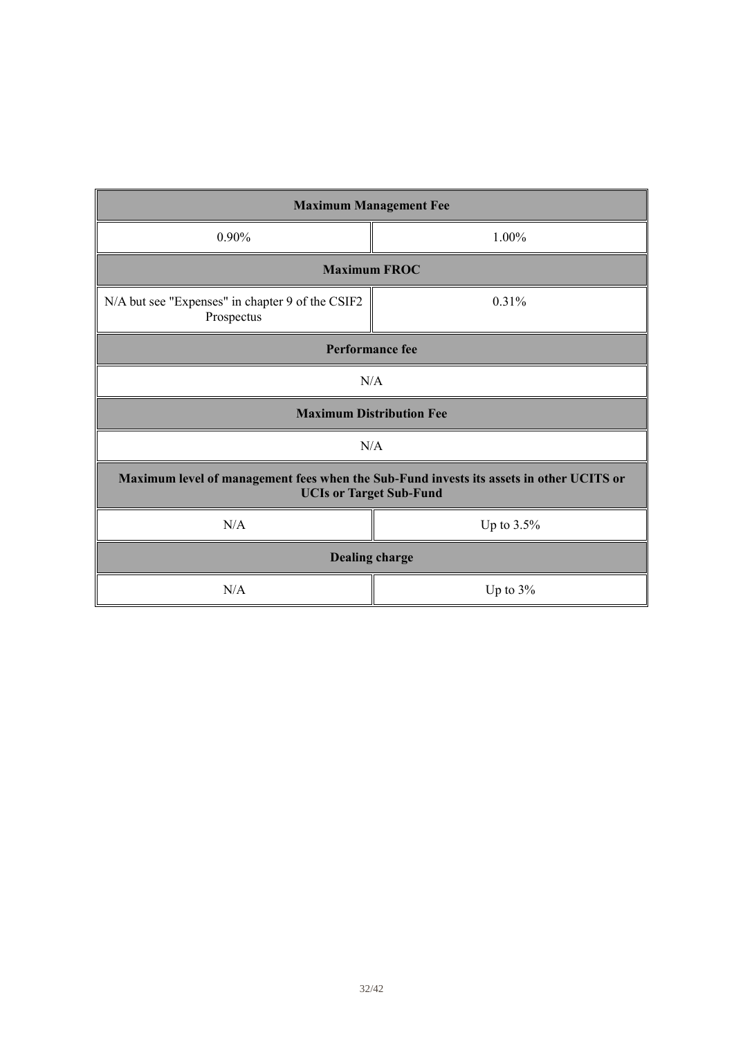| <b>Maximum Management Fee</b>                                                                                             |             |  |
|---------------------------------------------------------------------------------------------------------------------------|-------------|--|
| $0.90\%$                                                                                                                  | $1.00\%$    |  |
| <b>Maximum FROC</b>                                                                                                       |             |  |
| N/A but see "Expenses" in chapter 9 of the CSIF2<br>Prospectus                                                            | 0.31%       |  |
| <b>Performance fee</b>                                                                                                    |             |  |
| N/A                                                                                                                       |             |  |
| <b>Maximum Distribution Fee</b>                                                                                           |             |  |
| N/A                                                                                                                       |             |  |
| Maximum level of management fees when the Sub-Fund invests its assets in other UCITS or<br><b>UCIs or Target Sub-Fund</b> |             |  |
| N/A                                                                                                                       | Up to 3.5%  |  |
| <b>Dealing charge</b>                                                                                                     |             |  |
| N/A                                                                                                                       | Up to $3\%$ |  |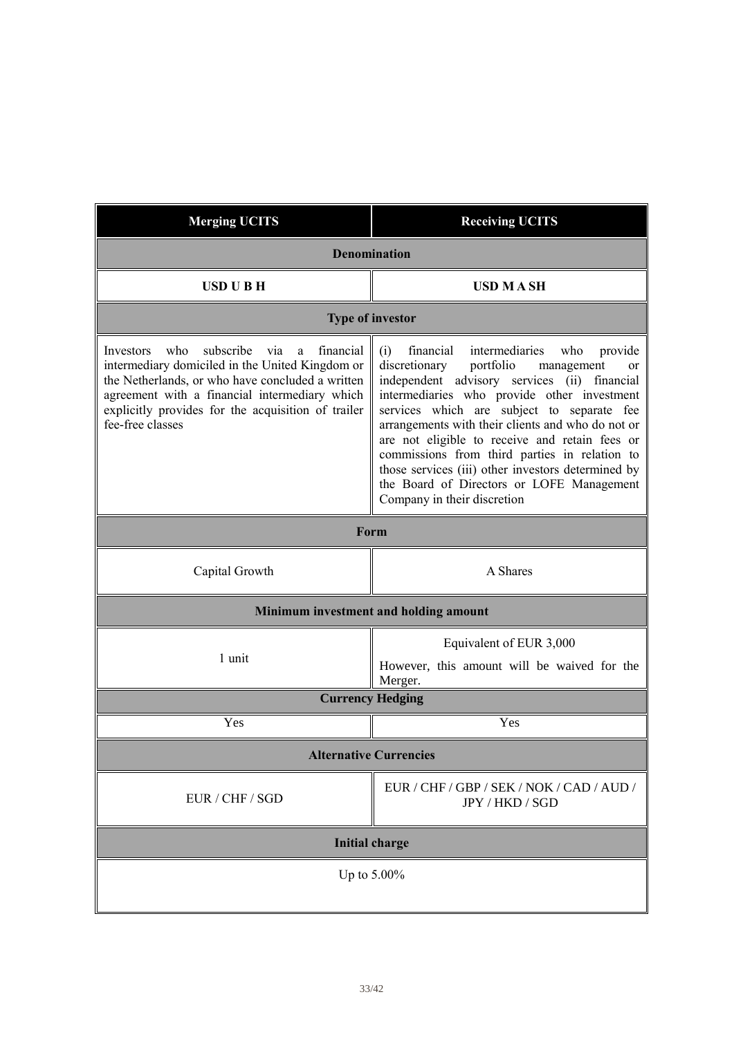| <b>Merging UCITS</b>                                                                                                                                                                                                                                                                     | <b>Receiving UCITS</b>                                                                                                                                                                                                                                                                                                                                                                                                                                                                                                                        |  |
|------------------------------------------------------------------------------------------------------------------------------------------------------------------------------------------------------------------------------------------------------------------------------------------|-----------------------------------------------------------------------------------------------------------------------------------------------------------------------------------------------------------------------------------------------------------------------------------------------------------------------------------------------------------------------------------------------------------------------------------------------------------------------------------------------------------------------------------------------|--|
| <b>Denomination</b>                                                                                                                                                                                                                                                                      |                                                                                                                                                                                                                                                                                                                                                                                                                                                                                                                                               |  |
| <b>USD U B H</b>                                                                                                                                                                                                                                                                         | <b>USD MASH</b>                                                                                                                                                                                                                                                                                                                                                                                                                                                                                                                               |  |
|                                                                                                                                                                                                                                                                                          | <b>Type of investor</b>                                                                                                                                                                                                                                                                                                                                                                                                                                                                                                                       |  |
| who<br>subscribe<br>financial<br>Investors<br>via<br>a<br>intermediary domiciled in the United Kingdom or<br>the Netherlands, or who have concluded a written<br>agreement with a financial intermediary which<br>explicitly provides for the acquisition of trailer<br>fee-free classes | intermediaries<br>financial<br>who<br>(i)<br>provide<br>discretionary<br>portfolio<br>management<br>or<br>independent advisory services (ii) financial<br>intermediaries who provide other investment<br>services which are subject to separate fee<br>arrangements with their clients and who do not or<br>are not eligible to receive and retain fees or<br>commissions from third parties in relation to<br>those services (iii) other investors determined by<br>the Board of Directors or LOFE Management<br>Company in their discretion |  |
|                                                                                                                                                                                                                                                                                          | Form                                                                                                                                                                                                                                                                                                                                                                                                                                                                                                                                          |  |
| Capital Growth                                                                                                                                                                                                                                                                           | A Shares                                                                                                                                                                                                                                                                                                                                                                                                                                                                                                                                      |  |
|                                                                                                                                                                                                                                                                                          | Minimum investment and holding amount                                                                                                                                                                                                                                                                                                                                                                                                                                                                                                         |  |
| 1 unit                                                                                                                                                                                                                                                                                   | Equivalent of EUR 3,000<br>However, this amount will be waived for the<br>Merger.                                                                                                                                                                                                                                                                                                                                                                                                                                                             |  |
|                                                                                                                                                                                                                                                                                          | <b>Currency Hedging</b>                                                                                                                                                                                                                                                                                                                                                                                                                                                                                                                       |  |
| Yes                                                                                                                                                                                                                                                                                      | Yes                                                                                                                                                                                                                                                                                                                                                                                                                                                                                                                                           |  |
|                                                                                                                                                                                                                                                                                          | <b>Alternative Currencies</b>                                                                                                                                                                                                                                                                                                                                                                                                                                                                                                                 |  |
| EUR / CHF / SGD                                                                                                                                                                                                                                                                          | EUR / CHF / GBP / SEK / NOK / CAD / AUD /<br>JPY / HKD / SGD                                                                                                                                                                                                                                                                                                                                                                                                                                                                                  |  |
| <b>Initial charge</b>                                                                                                                                                                                                                                                                    |                                                                                                                                                                                                                                                                                                                                                                                                                                                                                                                                               |  |
| Up to $5.00\%$                                                                                                                                                                                                                                                                           |                                                                                                                                                                                                                                                                                                                                                                                                                                                                                                                                               |  |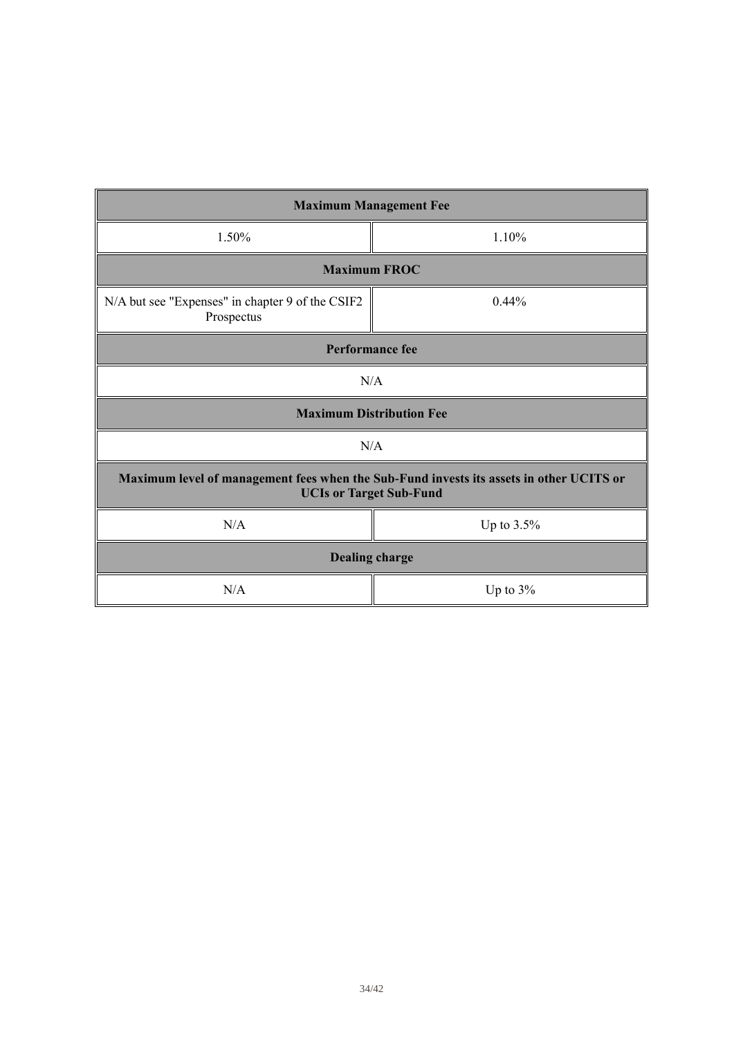| <b>Maximum Management Fee</b>                                                                                             |             |  |
|---------------------------------------------------------------------------------------------------------------------------|-------------|--|
| 1.50%                                                                                                                     | 1.10%       |  |
| <b>Maximum FROC</b>                                                                                                       |             |  |
| N/A but see "Expenses" in chapter 9 of the CSIF2<br>Prospectus                                                            | $0.44\%$    |  |
| <b>Performance fee</b>                                                                                                    |             |  |
| N/A                                                                                                                       |             |  |
| <b>Maximum Distribution Fee</b>                                                                                           |             |  |
| N/A                                                                                                                       |             |  |
| Maximum level of management fees when the Sub-Fund invests its assets in other UCITS or<br><b>UCIs or Target Sub-Fund</b> |             |  |
| N/A                                                                                                                       | Up to 3.5%  |  |
| <b>Dealing charge</b>                                                                                                     |             |  |
| N/A                                                                                                                       | Up to $3\%$ |  |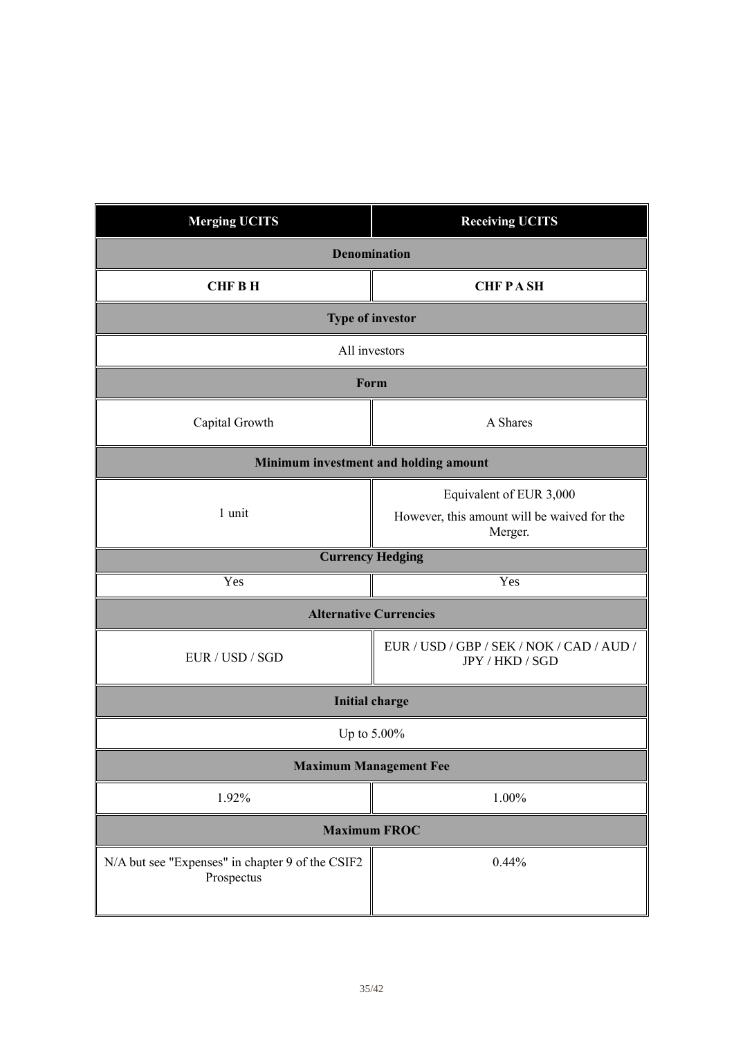| <b>Merging UCITS</b>                                           | <b>Receiving UCITS</b>                                       |  |
|----------------------------------------------------------------|--------------------------------------------------------------|--|
|                                                                | <b>Denomination</b>                                          |  |
| <b>CHFBH</b>                                                   | <b>CHFPASH</b>                                               |  |
| <b>Type of investor</b>                                        |                                                              |  |
| All investors                                                  |                                                              |  |
| Form                                                           |                                                              |  |
| Capital Growth                                                 | A Shares                                                     |  |
| Minimum investment and holding amount                          |                                                              |  |
|                                                                | Equivalent of EUR 3,000                                      |  |
| 1 unit                                                         | However, this amount will be waived for the<br>Merger.       |  |
| <b>Currency Hedging</b>                                        |                                                              |  |
| Yes                                                            | Yes                                                          |  |
|                                                                | <b>Alternative Currencies</b>                                |  |
| EUR / USD / SGD                                                | EUR / USD / GBP / SEK / NOK / CAD / AUD /<br>JPY / HKD / SGD |  |
|                                                                | <b>Initial charge</b>                                        |  |
| Up to 5.00%                                                    |                                                              |  |
| <b>Maximum Management Fee</b>                                  |                                                              |  |
| 1.92%                                                          | 1.00%                                                        |  |
| <b>Maximum FROC</b>                                            |                                                              |  |
| N/A but see "Expenses" in chapter 9 of the CSIF2<br>Prospectus | 0.44%                                                        |  |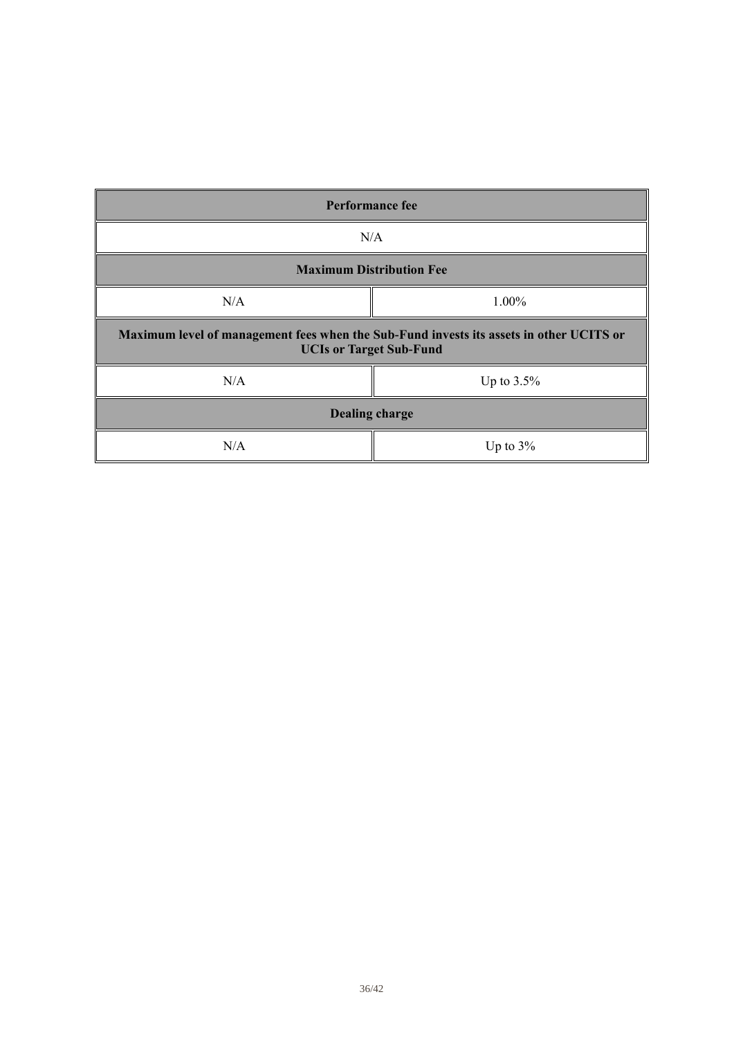| <b>Performance fee</b>                                                                                                    |               |  |
|---------------------------------------------------------------------------------------------------------------------------|---------------|--|
| N/A                                                                                                                       |               |  |
| <b>Maximum Distribution Fee</b>                                                                                           |               |  |
| N/A                                                                                                                       | 1.00%         |  |
| Maximum level of management fees when the Sub-Fund invests its assets in other UCITS or<br><b>UCIs or Target Sub-Fund</b> |               |  |
| N/A                                                                                                                       | Up to $3.5\%$ |  |
| <b>Dealing charge</b>                                                                                                     |               |  |
| N/A                                                                                                                       | Up to $3\%$   |  |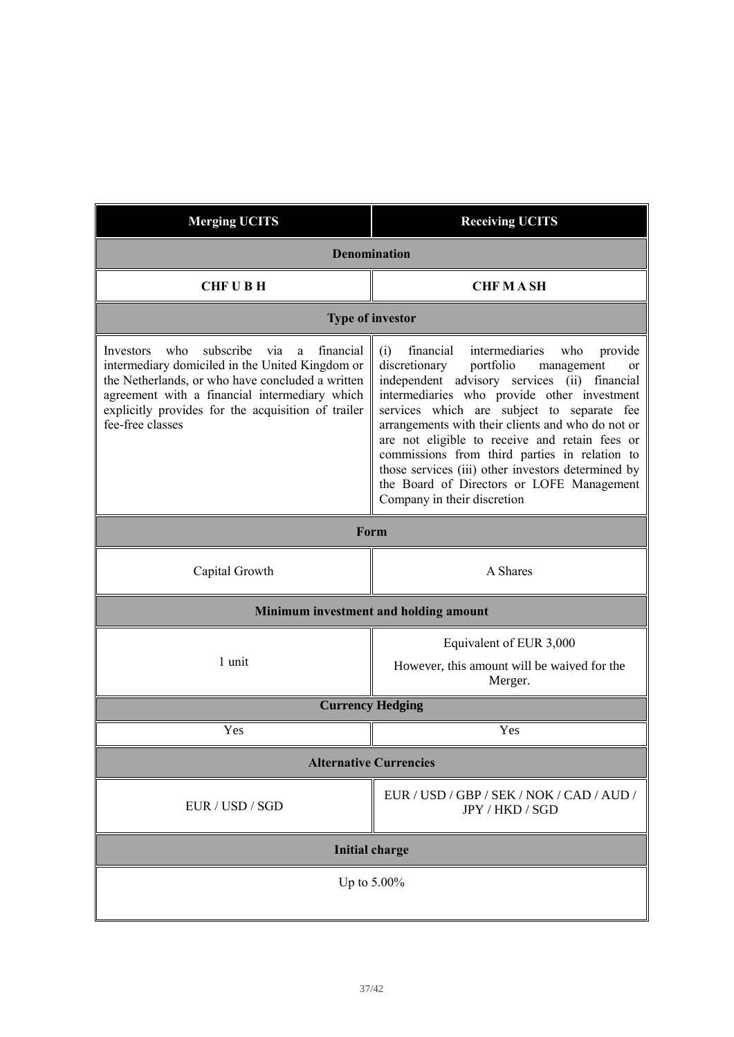| <b>Merging UCITS</b>                                                                                                                                                                                                                                                                     | <b>Receiving UCITS</b>                                                                                                                                                                                                                                                                                                                                                                                                                                                                                                                           |
|------------------------------------------------------------------------------------------------------------------------------------------------------------------------------------------------------------------------------------------------------------------------------------------|--------------------------------------------------------------------------------------------------------------------------------------------------------------------------------------------------------------------------------------------------------------------------------------------------------------------------------------------------------------------------------------------------------------------------------------------------------------------------------------------------------------------------------------------------|
| <b>Denomination</b>                                                                                                                                                                                                                                                                      |                                                                                                                                                                                                                                                                                                                                                                                                                                                                                                                                                  |
| <b>CHFUBH</b>                                                                                                                                                                                                                                                                            | <b>CHF MASH</b>                                                                                                                                                                                                                                                                                                                                                                                                                                                                                                                                  |
|                                                                                                                                                                                                                                                                                          | <b>Type of investor</b>                                                                                                                                                                                                                                                                                                                                                                                                                                                                                                                          |
| subscribe<br>who<br>financial<br>Investors<br>via<br>a<br>intermediary domiciled in the United Kingdom or<br>the Netherlands, or who have concluded a written<br>agreement with a financial intermediary which<br>explicitly provides for the acquisition of trailer<br>fee-free classes | financial<br>intermediaries<br>who<br>(i)<br>provide<br>portfolio<br>discretionary<br>management<br>or<br>independent advisory services (ii)<br>financial<br>intermediaries who provide other investment<br>services which are subject to separate fee<br>arrangements with their clients and who do not or<br>are not eligible to receive and retain fees or<br>commissions from third parties in relation to<br>those services (iii) other investors determined by<br>the Board of Directors or LOFE Management<br>Company in their discretion |
| Form                                                                                                                                                                                                                                                                                     |                                                                                                                                                                                                                                                                                                                                                                                                                                                                                                                                                  |
| Capital Growth                                                                                                                                                                                                                                                                           | A Shares                                                                                                                                                                                                                                                                                                                                                                                                                                                                                                                                         |
|                                                                                                                                                                                                                                                                                          | Minimum investment and holding amount                                                                                                                                                                                                                                                                                                                                                                                                                                                                                                            |
| 1 unit                                                                                                                                                                                                                                                                                   | Equivalent of EUR 3,000<br>However, this amount will be waived for the<br>Merger.                                                                                                                                                                                                                                                                                                                                                                                                                                                                |
|                                                                                                                                                                                                                                                                                          | <b>Currency Hedging</b>                                                                                                                                                                                                                                                                                                                                                                                                                                                                                                                          |
| Yes                                                                                                                                                                                                                                                                                      | Yes                                                                                                                                                                                                                                                                                                                                                                                                                                                                                                                                              |
| <b>Alternative Currencies</b>                                                                                                                                                                                                                                                            |                                                                                                                                                                                                                                                                                                                                                                                                                                                                                                                                                  |
| EUR / USD / SGD                                                                                                                                                                                                                                                                          | EUR / USD / GBP / SEK / NOK / CAD / AUD /<br>JPY / HKD / SGD                                                                                                                                                                                                                                                                                                                                                                                                                                                                                     |
| <b>Initial charge</b>                                                                                                                                                                                                                                                                    |                                                                                                                                                                                                                                                                                                                                                                                                                                                                                                                                                  |
| Up to $5.00\%$                                                                                                                                                                                                                                                                           |                                                                                                                                                                                                                                                                                                                                                                                                                                                                                                                                                  |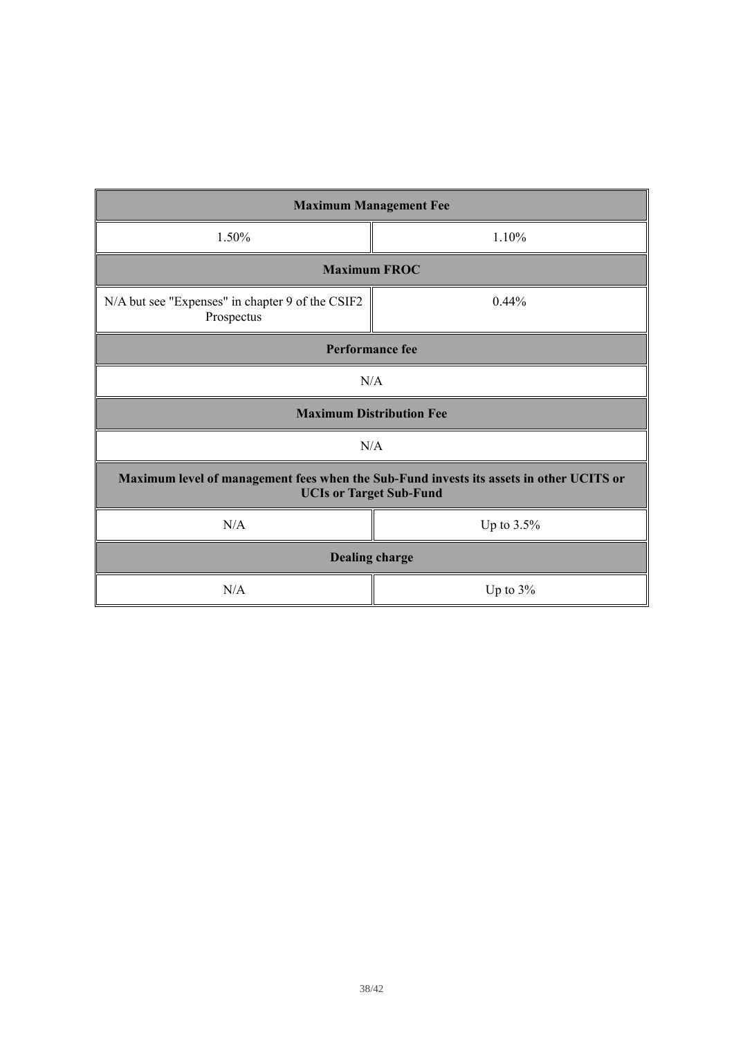| <b>Maximum Management Fee</b>                                                                                             |               |  |
|---------------------------------------------------------------------------------------------------------------------------|---------------|--|
| 1.50%                                                                                                                     | 1.10%         |  |
| <b>Maximum FROC</b>                                                                                                       |               |  |
| N/A but see "Expenses" in chapter 9 of the CSIF2<br>Prospectus                                                            | 0.44%         |  |
| <b>Performance fee</b>                                                                                                    |               |  |
| N/A                                                                                                                       |               |  |
| <b>Maximum Distribution Fee</b>                                                                                           |               |  |
| N/A                                                                                                                       |               |  |
| Maximum level of management fees when the Sub-Fund invests its assets in other UCITS or<br><b>UCIs or Target Sub-Fund</b> |               |  |
| N/A                                                                                                                       | Up to $3.5\%$ |  |
| <b>Dealing charge</b>                                                                                                     |               |  |
| N/A                                                                                                                       | Up to $3\%$   |  |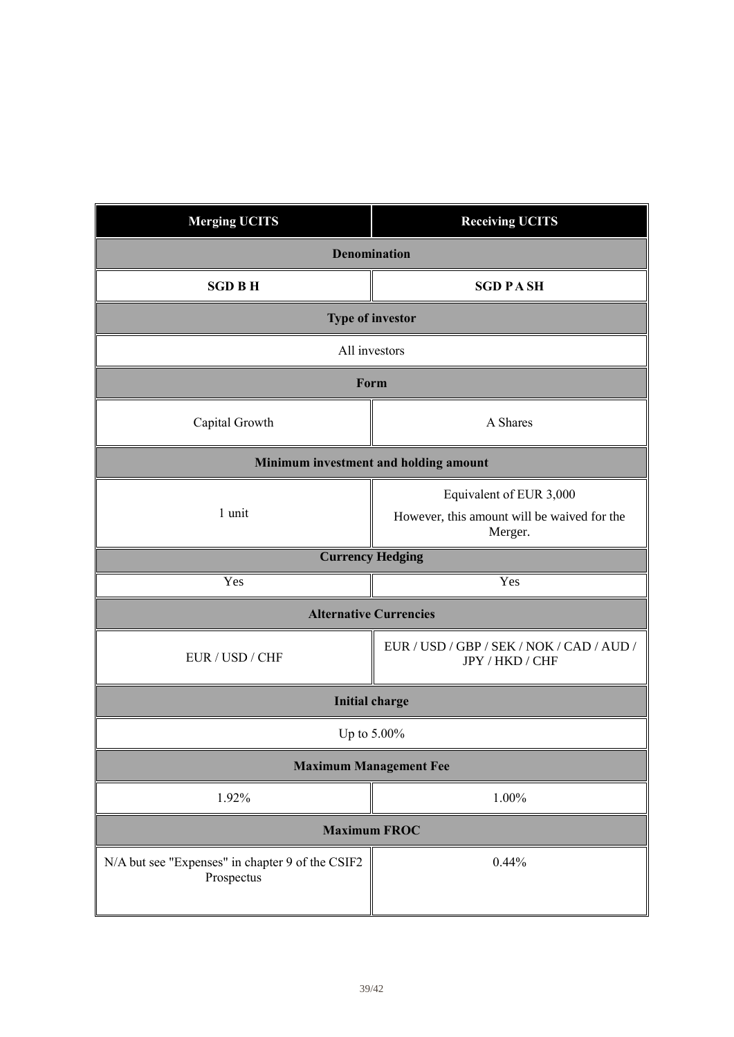| <b>Merging UCITS</b>                                           | <b>Receiving UCITS</b>                                                            |  |
|----------------------------------------------------------------|-----------------------------------------------------------------------------------|--|
| <b>Denomination</b>                                            |                                                                                   |  |
| <b>SGD BH</b>                                                  | <b>SGD PASH</b>                                                                   |  |
| <b>Type of investor</b>                                        |                                                                                   |  |
| All investors                                                  |                                                                                   |  |
| Form                                                           |                                                                                   |  |
| Capital Growth                                                 | A Shares                                                                          |  |
| Minimum investment and holding amount                          |                                                                                   |  |
| 1 unit                                                         | Equivalent of EUR 3,000<br>However, this amount will be waived for the<br>Merger. |  |
| <b>Currency Hedging</b>                                        |                                                                                   |  |
| Yes                                                            | Yes                                                                               |  |
|                                                                | <b>Alternative Currencies</b>                                                     |  |
| EUR / USD / CHF                                                | EUR / USD / GBP / SEK / NOK / CAD / AUD /<br>JPY / HKD / CHF                      |  |
|                                                                | <b>Initial charge</b>                                                             |  |
| Up to 5.00%                                                    |                                                                                   |  |
| <b>Maximum Management Fee</b>                                  |                                                                                   |  |
| 1.92%                                                          | 1.00%                                                                             |  |
| <b>Maximum FROC</b>                                            |                                                                                   |  |
| N/A but see "Expenses" in chapter 9 of the CSIF2<br>Prospectus | 0.44%                                                                             |  |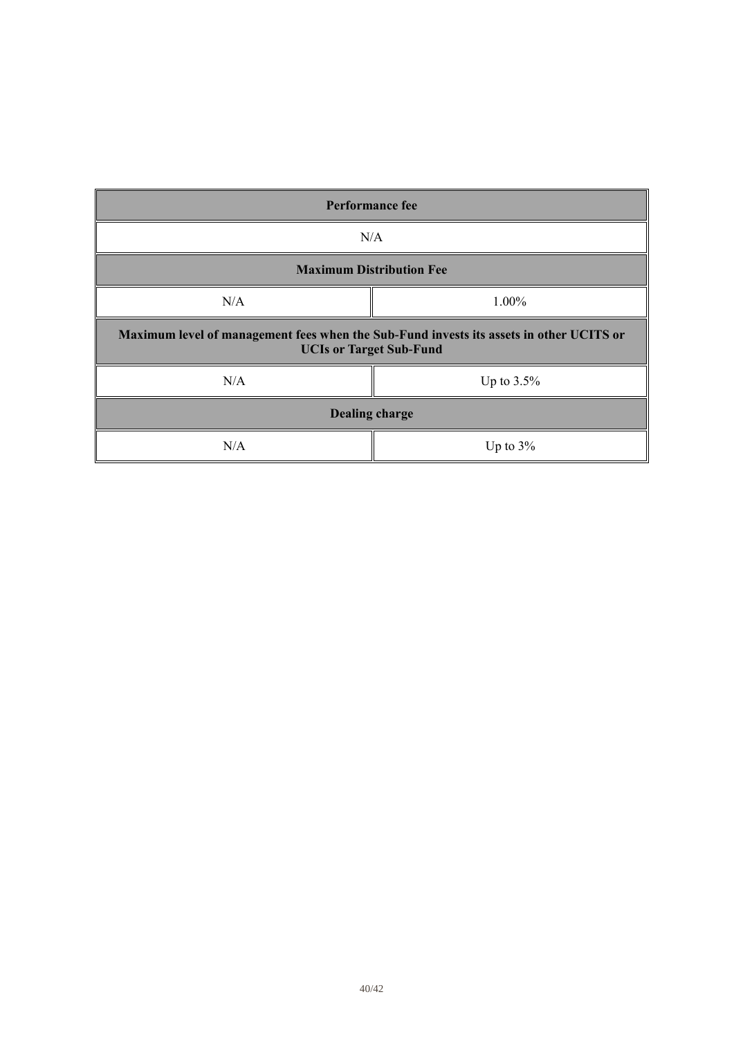| <b>Performance fee</b>                                                                                                    |               |  |
|---------------------------------------------------------------------------------------------------------------------------|---------------|--|
| N/A                                                                                                                       |               |  |
| <b>Maximum Distribution Fee</b>                                                                                           |               |  |
| N/A                                                                                                                       | 1.00%         |  |
| Maximum level of management fees when the Sub-Fund invests its assets in other UCITS or<br><b>UCIs or Target Sub-Fund</b> |               |  |
| N/A                                                                                                                       | Up to $3.5\%$ |  |
| <b>Dealing charge</b>                                                                                                     |               |  |
| N/A                                                                                                                       | Up to $3\%$   |  |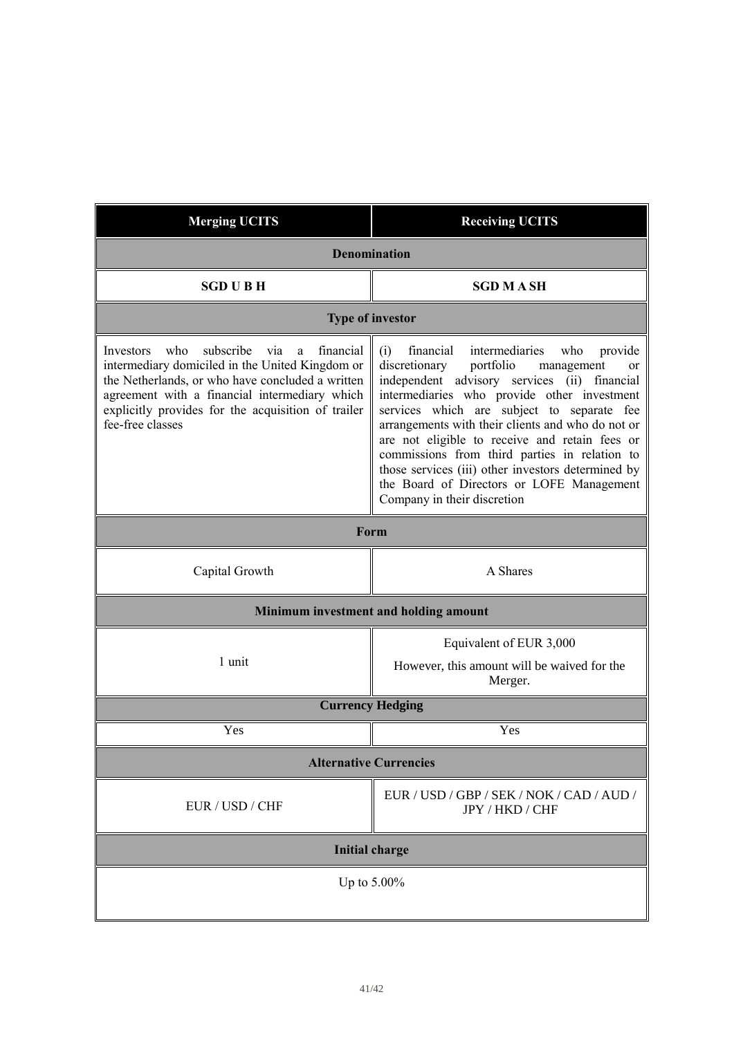| <b>Merging UCITS</b>                                                                                                                                                                                                                                                                     | <b>Receiving UCITS</b>                                                                                                                                                                                                                                                                                                                                                                                                                                                                                                                        |  |
|------------------------------------------------------------------------------------------------------------------------------------------------------------------------------------------------------------------------------------------------------------------------------------------|-----------------------------------------------------------------------------------------------------------------------------------------------------------------------------------------------------------------------------------------------------------------------------------------------------------------------------------------------------------------------------------------------------------------------------------------------------------------------------------------------------------------------------------------------|--|
| <b>Denomination</b>                                                                                                                                                                                                                                                                      |                                                                                                                                                                                                                                                                                                                                                                                                                                                                                                                                               |  |
| <b>SGD UBH</b>                                                                                                                                                                                                                                                                           | <b>SGD M A SH</b>                                                                                                                                                                                                                                                                                                                                                                                                                                                                                                                             |  |
| <b>Type of investor</b>                                                                                                                                                                                                                                                                  |                                                                                                                                                                                                                                                                                                                                                                                                                                                                                                                                               |  |
| subscribe<br>who<br>financial<br>Investors<br>via<br>a<br>intermediary domiciled in the United Kingdom or<br>the Netherlands, or who have concluded a written<br>agreement with a financial intermediary which<br>explicitly provides for the acquisition of trailer<br>fee-free classes | intermediaries<br>financial<br>who<br>(i)<br>provide<br>portfolio<br>discretionary<br>management<br>or<br>independent advisory services (ii) financial<br>intermediaries who provide other investment<br>services which are subject to separate fee<br>arrangements with their clients and who do not or<br>are not eligible to receive and retain fees or<br>commissions from third parties in relation to<br>those services (iii) other investors determined by<br>the Board of Directors or LOFE Management<br>Company in their discretion |  |
| Form                                                                                                                                                                                                                                                                                     |                                                                                                                                                                                                                                                                                                                                                                                                                                                                                                                                               |  |
| Capital Growth                                                                                                                                                                                                                                                                           | A Shares                                                                                                                                                                                                                                                                                                                                                                                                                                                                                                                                      |  |
| Minimum investment and holding amount                                                                                                                                                                                                                                                    |                                                                                                                                                                                                                                                                                                                                                                                                                                                                                                                                               |  |
| 1 unit                                                                                                                                                                                                                                                                                   | Equivalent of EUR 3,000<br>However, this amount will be waived for the<br>Merger.                                                                                                                                                                                                                                                                                                                                                                                                                                                             |  |
| <b>Currency Hedging</b>                                                                                                                                                                                                                                                                  |                                                                                                                                                                                                                                                                                                                                                                                                                                                                                                                                               |  |
| Yes                                                                                                                                                                                                                                                                                      | Yes                                                                                                                                                                                                                                                                                                                                                                                                                                                                                                                                           |  |
| <b>Alternative Currencies</b>                                                                                                                                                                                                                                                            |                                                                                                                                                                                                                                                                                                                                                                                                                                                                                                                                               |  |
| EUR / USD / CHF                                                                                                                                                                                                                                                                          | EUR / USD / GBP / SEK / NOK / CAD / AUD /<br>JPY / HKD / CHF                                                                                                                                                                                                                                                                                                                                                                                                                                                                                  |  |
| <b>Initial charge</b>                                                                                                                                                                                                                                                                    |                                                                                                                                                                                                                                                                                                                                                                                                                                                                                                                                               |  |
| Up to $5.00\%$                                                                                                                                                                                                                                                                           |                                                                                                                                                                                                                                                                                                                                                                                                                                                                                                                                               |  |
|                                                                                                                                                                                                                                                                                          |                                                                                                                                                                                                                                                                                                                                                                                                                                                                                                                                               |  |